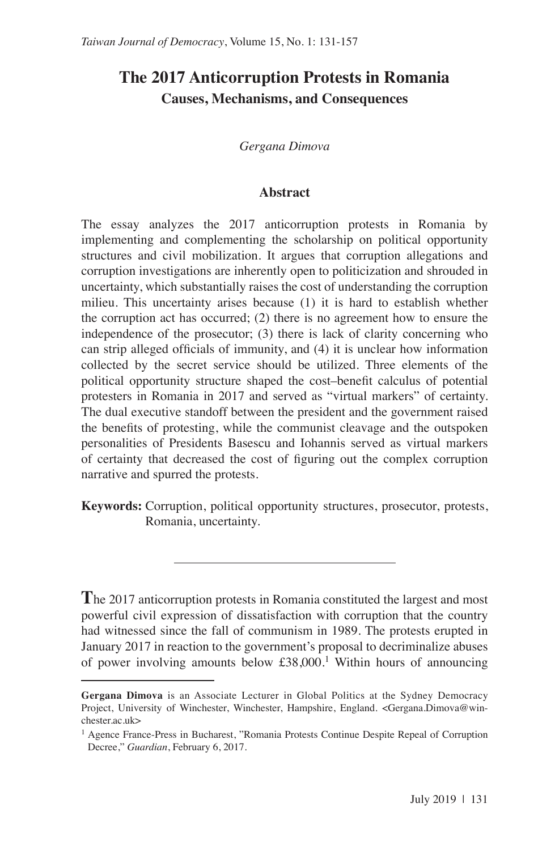# **The 2017 Anticorruption Protests in Romania Causes, Mechanisms, and Consequences**

*Gergana Dimova*

#### **Abstract**

The essay analyzes the 2017 anticorruption protests in Romania by implementing and complementing the scholarship on political opportunity structures and civil mobilization. It argues that corruption allegations and corruption investigations are inherently open to politicization and shrouded in uncertainty, which substantially raises the cost of understanding the corruption milieu. This uncertainty arises because (1) it is hard to establish whether the corruption act has occurred; (2) there is no agreement how to ensure the independence of the prosecutor; (3) there is lack of clarity concerning who can strip alleged officials of immunity, and (4) it is unclear how information collected by the secret service should be utilized. Three elements of the political opportunity structure shaped the cost–benefit calculus of potential protesters in Romania in 2017 and served as "virtual markers" of certainty. The dual executive standoff between the president and the government raised the benefits of protesting, while the communist cleavage and the outspoken personalities of Presidents Basescu and Iohannis served as virtual markers of certainty that decreased the cost of figuring out the complex corruption narrative and spurred the protests.

**Keywords:** Corruption, political opportunity structures, prosecutor, protests, Romania, uncertainty.

**T**he 2017 anticorruption protests in Romania constituted the largest and most powerful civil expression of dissatisfaction with corruption that the country had witnessed since the fall of communism in 1989. The protests erupted in January 2017 in reaction to the government's proposal to decriminalize abuses of power involving amounts below  $\text{\pounds}38,000$ .<sup>1</sup> Within hours of announcing

**Gergana Dimova** is an Associate Lecturer in Global Politics at the Sydney Democracy Project, University of Winchester, Winchester, Hampshire, England. <Gergana.Dimova@winchester.ac.uk>

<sup>&</sup>lt;sup>1</sup> Agence France-Press in Bucharest, "Romania Protests Continue Despite Repeal of Corruption Decree," *Guardian*, February 6, 2017.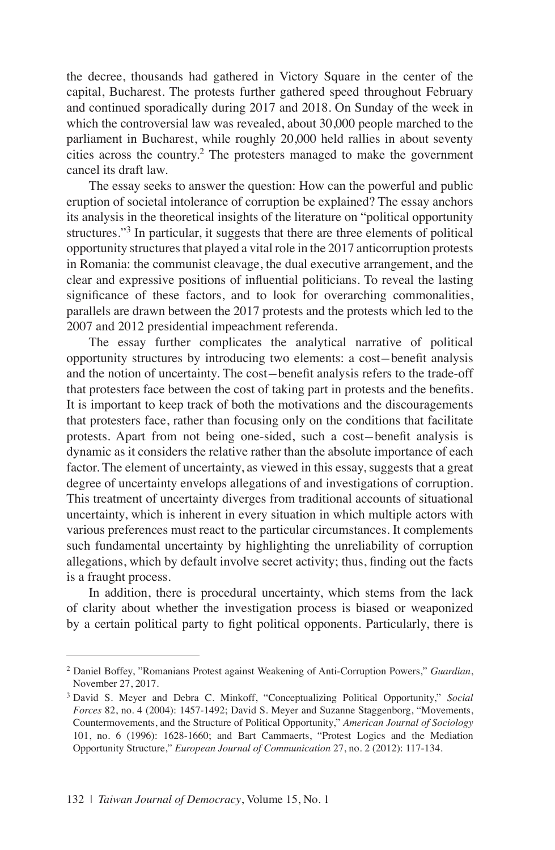the decree, thousands had gathered in Victory Square in the center of the capital, Bucharest. The protests further gathered speed throughout February and continued sporadically during 2017 and 2018. On Sunday of the week in which the controversial law was revealed, about 30,000 people marched to the parliament in Bucharest, while roughly 20,000 held rallies in about seventy cities across the country.2 The protesters managed to make the government cancel its draft law.

The essay seeks to answer the question: How can the powerful and public eruption of societal intolerance of corruption be explained? The essay anchors its analysis in the theoretical insights of the literature on "political opportunity structures."<sup>3</sup> In particular, it suggests that there are three elements of political opportunity structures that played a vital role in the 2017 anticorruption protests in Romania: the communist cleavage, the dual executive arrangement, and the clear and expressive positions of influential politicians. To reveal the lasting significance of these factors, and to look for overarching commonalities, parallels are drawn between the 2017 protests and the protests which led to the 2007 and 2012 presidential impeachment referenda.

The essay further complicates the analytical narrative of political opportunity structures by introducing two elements: a cost-benefit analysis and the notion of uncertainty. The cost-benefit analysis refers to the trade-off that protesters face between the cost of taking part in protests and the benefits. It is important to keep track of both the motivations and the discouragements that protesters face, rather than focusing only on the conditions that facilitate protests. Apart from not being one-sided, such a cost-benefit analysis is dynamic as it considers the relative rather than the absolute importance of each factor. The element of uncertainty, as viewed in this essay, suggests that a great degree of uncertainty envelops allegations of and investigations of corruption. This treatment of uncertainty diverges from traditional accounts of situational uncertainty, which is inherent in every situation in which multiple actors with various preferences must react to the particular circumstances. It complements such fundamental uncertainty by highlighting the unreliability of corruption allegations, which by default involve secret activity; thus, finding out the facts is a fraught process.

In addition, there is procedural uncertainty, which stems from the lack of clarity about whether the investigation process is biased or weaponized by a certain political party to fight political opponents. Particularly, there is

<sup>2</sup> Daniel Boffey, "Romanians Protest against Weakening of Anti-Corruption Powers," *Guardian*, November 27, 2017.

<sup>3</sup> David S. Meyer and Debra C. Minkoff, "Conceptualizing Political Opportunity," *Social Forces* 82, no. 4 (2004): 1457-1492; David S. Meyer and Suzanne Staggenborg, "Movements, Countermovements, and the Structure of Political Opportunity," *American Journal of Sociology*  101, no. 6 (1996): 1628-1660; and Bart Cammaerts, "Protest Logics and the Mediation Opportunity Structure," *European Journal of Communication* 27, no. 2 (2012): 117-134.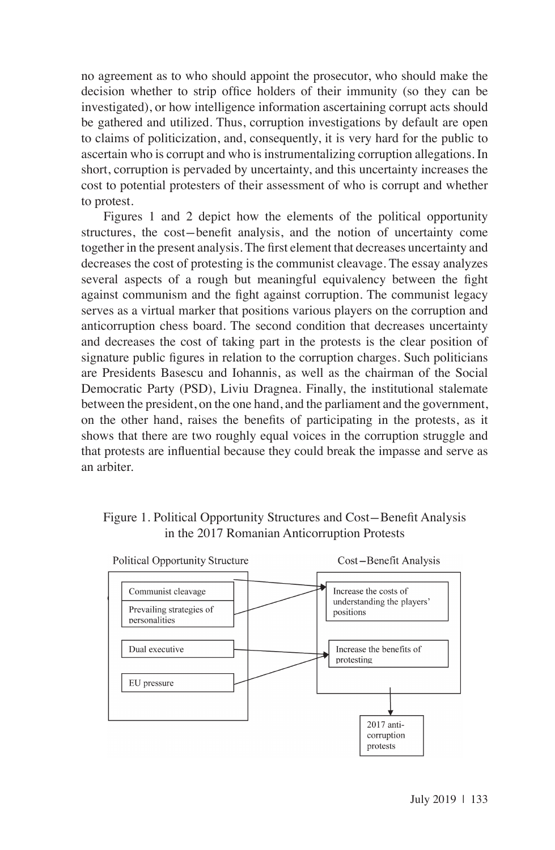no agreement as to who should appoint the prosecutor, who should make the decision whether to strip office holders of their immunity (so they can be investigated), or how intelligence information ascertaining corrupt acts should be gathered and utilized. Thus, corruption investigations by default are open to claims of politicization, and, consequently, it is very hard for the public to ascertain who is corrupt and who is instrumentalizing corruption allegations. In short, corruption is pervaded by uncertainty, and this uncertainty increases the cost to potential protesters of their assessment of who is corrupt and whether to protest.

Figures 1 and 2 depict how the elements of the political opportunity structures, the cost-benefit analysis, and the notion of uncertainty come together in the present analysis. The first element that decreases uncertainty and decreases the cost of protesting is the communist cleavage. The essay analyzes several aspects of a rough but meaningful equivalency between the fight against communism and the fight against corruption. The communist legacy serves as a virtual marker that positions various players on the corruption and anticorruption chess board. The second condition that decreases uncertainty and decreases the cost of taking part in the protests is the clear position of signature public figures in relation to the corruption charges. Such politicians are Presidents Basescu and Iohannis, as well as the chairman of the Social Democratic Party (PSD), Liviu Dragnea. Finally, the institutional stalemate between the president, on the one hand, and the parliament and the government, on the other hand, raises the benefits of participating in the protests, as it shows that there are two roughly equal voices in the corruption struggle and that protests are influential because they could break the impasse and serve as an arbiter.

### Figure 1. Political Opportunity Structures and Cost-Benefit Analysis in the 2017 Romanian Anticorruption Protests



July 2019 | 133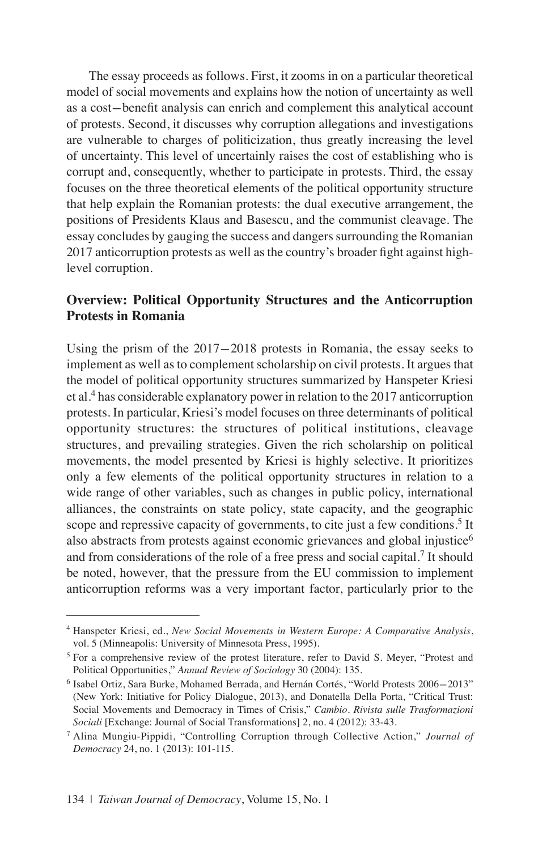The essay proceeds as follows. First, it zooms in on a particular theoretical model of social movements and explains how the notion of uncertainty as well as a cost-benefit analysis can enrich and complement this analytical account of protests. Second, it discusses why corruption allegations and investigations are vulnerable to charges of politicization, thus greatly increasing the level of uncertainty. This level of uncertainly raises the cost of establishing who is corrupt and, consequently, whether to participate in protests. Third, the essay focuses on the three theoretical elements of the political opportunity structure that help explain the Romanian protests: the dual executive arrangement, the positions of Presidents Klaus and Basescu, and the communist cleavage. The essay concludes by gauging the success and dangers surrounding the Romanian 2017 anticorruption protests as well as the country's broader fight against highlevel corruption.

# **Overview: Political Opportunity Structures and the Anticorruption Protests in Romania**

Using the prism of the 2017-2018 protests in Romania, the essay seeks to implement as well as to complement scholarship on civil protests. It argues that the model of political opportunity structures summarized by Hanspeter Kriesi et al.<sup>4</sup> has considerable explanatory power in relation to the 2017 anticorruption protests. In particular, Kriesi's model focuses on three determinants of political opportunity structures: the structures of political institutions, cleavage structures, and prevailing strategies. Given the rich scholarship on political movements, the model presented by Kriesi is highly selective. It prioritizes only a few elements of the political opportunity structures in relation to a wide range of other variables, such as changes in public policy, international alliances, the constraints on state policy, state capacity, and the geographic scope and repressive capacity of governments, to cite just a few conditions.<sup>5</sup> It also abstracts from protests against economic grievances and global injustice<sup>6</sup> and from considerations of the role of a free press and social capital.<sup>7</sup> It should be noted, however, that the pressure from the EU commission to implement anticorruption reforms was a very important factor, particularly prior to the

<sup>4</sup> Hanspeter Kriesi, ed., *New Social Movements in Western Europe: A Comparative Analysis*, vol. 5 (Minneapolis: University of Minnesota Press, 1995).

<sup>&</sup>lt;sup>5</sup> For a comprehensive review of the protest literature, refer to David S. Meyer, "Protest and Political Opportunities," *Annual Review of Sociology* 30 (2004): 135.

<sup>6</sup> Isabel Ortiz, Sara Burke, Mohamed Berrada, and Hernán Cortés, "World Protests 2006-2013" (New York: Initiative for Policy Dialogue, 2013), and Donatella Della Porta, "Critical Trust: Social Movements and Democracy in Times of Crisis," *Cambio. Rivista sulle Trasformazioni Sociali* [Exchange: Journal of Social Transformations] 2, no. 4 (2012): 33-43.

<sup>7</sup> Alina Mungiu-Pippidi, "Controlling Corruption through Collective Action," *Journal of Democracy* 24, no. 1 (2013): 101-115.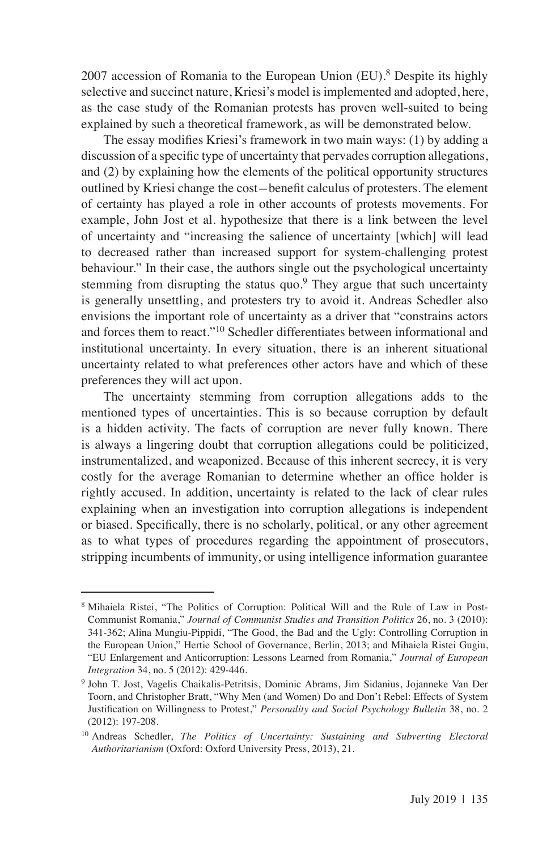2007 accession of Romania to the European Union (EU).<sup>8</sup> Despite its highly selective and succinct nature, Kriesi's model is implemented and adopted, here, as the case study of the Romanian protests has proven well-suited to being explained by such a theoretical framework, as will be demonstrated below.

The essay modifies Kriesi's framework in two main ways: (1) by adding a discussion of a specific type of uncertainty that pervades corruption allegations, and (2) by explaining how the elements of the political opportunity structures outlined by Kriesi change the cost-benefit calculus of protesters. The element of certainty has played a role in other accounts of protests movements. For example, John Jost et al. hypothesize that there is a link between the level of uncertainty and "increasing the salience of uncertainty [which] will lead to decreased rather than increased support for system-challenging protest behaviour." In their case, the authors single out the psychological uncertainty stemming from disrupting the status quo. $9$  They argue that such uncertainty is generally unsettling, and protesters try to avoid it. Andreas Schedler also envisions the important role of uncertainty as a driver that "constrains actors and forces them to react."10 Schedler differentiates between informational and institutional uncertainty. In every situation, there is an inherent situational uncertainty related to what preferences other actors have and which of these preferences they will act upon.

The uncertainty stemming from corruption allegations adds to the mentioned types of uncertainties. This is so because corruption by default is a hidden activity. The facts of corruption are never fully known. There is always a lingering doubt that corruption allegations could be politicized, instrumentalized, and weaponized. Because of this inherent secrecy, it is very costly for the average Romanian to determine whether an office holder is rightly accused. In addition, uncertainty is related to the lack of clear rules explaining when an investigation into corruption allegations is independent or biased. Specifically, there is no scholarly, political, or any other agreement as to what types of procedures regarding the appointment of prosecutors, stripping incumbents of immunity, or using intelligence information guarantee

<sup>8</sup> Mihaiela Ristei, "The Politics of Corruption: Political Will and the Rule of Law in Post-Communist Romania," *Journal of Communist Studies and Transition Politics* 26, no. 3 (2010): 341-362; Alina Mungiu-Pippidi, "The Good, the Bad and the Ugly: Controlling Corruption in the European Union," Hertie School of Governance, Berlin, 2013; and Mihaiela Ristei Gugiu, "EU Enlargement and Anticorruption: Lessons Learned from Romania," *Journal of European Integration* 34, no. 5 (2012): 429-446.

<sup>9</sup> John T. Jost, Vagelis Chaikalis-Petritsis, Dominic Abrams, Jim Sidanius, Jojanneke Van Der Toorn, and Christopher Bratt, "Why Men (and Women) Do and Don't Rebel: Effects of System Justification on Willingness to Protest," *Personality and Social Psychology Bulletin* 38, no. 2 (2012): 197-208.

<sup>10</sup> Andreas Schedler, *The Politics of Uncertainty: Sustaining and Subverting Electoral Authoritarianism* (Oxford: Oxford University Press, 2013), 21.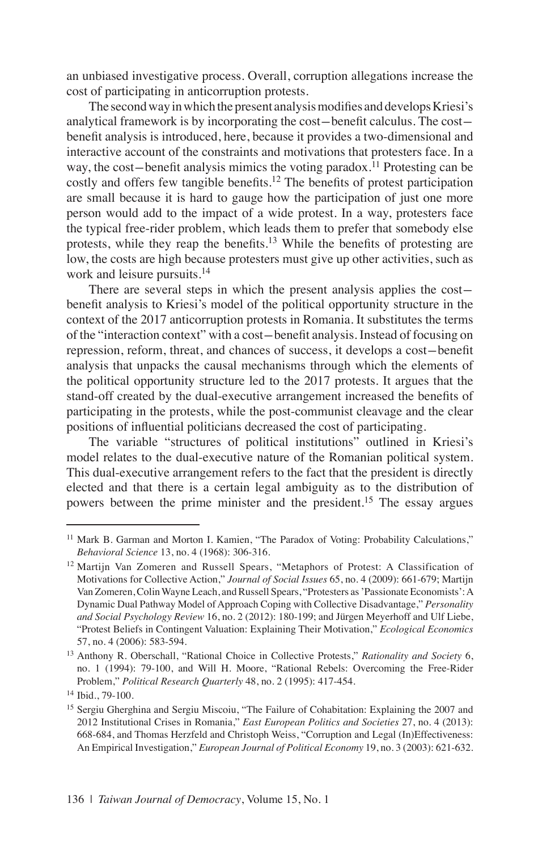an unbiased investigative process. Overall, corruption allegations increase the cost of participating in anticorruption protests.

The second way in which the present analysis modifies and develops Kriesi's analytical framework is by incorporating the cost-benefit calculus. The costbenefit analysis is introduced, here, because it provides a two-dimensional and interactive account of the constraints and motivations that protesters face. In a way, the cost-benefit analysis mimics the voting paradox.<sup>11</sup> Protesting can be costly and offers few tangible benefits.<sup>12</sup> The benefits of protest participation are small because it is hard to gauge how the participation of just one more person would add to the impact of a wide protest. In a way, protesters face the typical free-rider problem, which leads them to prefer that somebody else protests, while they reap the benefits.<sup>13</sup> While the benefits of protesting are low, the costs are high because protesters must give up other activities, such as work and leisure pursuits.<sup>14</sup>

There are several steps in which the present analysis applies the costbenefit analysis to Kriesi's model of the political opportunity structure in the context of the 2017 anticorruption protests in Romania. It substitutes the terms of the "interaction context" with a cost-benefit analysis. Instead of focusing on repression, reform, threat, and chances of success, it develops a cost-benefit analysis that unpacks the causal mechanisms through which the elements of the political opportunity structure led to the 2017 protests. It argues that the stand-off created by the dual-executive arrangement increased the benefits of participating in the protests, while the post-communist cleavage and the clear positions of influential politicians decreased the cost of participating.

The variable "structures of political institutions" outlined in Kriesi's model relates to the dual-executive nature of the Romanian political system. This dual-executive arrangement refers to the fact that the president is directly elected and that there is a certain legal ambiguity as to the distribution of powers between the prime minister and the president.15 The essay argues

<sup>&</sup>lt;sup>11</sup> Mark B. Garman and Morton I. Kamien, "The Paradox of Voting: Probability Calculations," *Behavioral Science* 13, no. 4 (1968): 306-316.

<sup>12</sup> Martijn Van Zomeren and Russell Spears, "Metaphors of Protest: A Classification of Motivations for Collective Action," *Journal of Social Issues* 65, no. 4 (2009): 661-679; Martijn Van Zomeren, Colin Wayne Leach, and Russell Spears, "Protesters as 'Passionate Economists': A Dynamic Dual Pathway Model of Approach Coping with Collective Disadvantage," *Personality and Social Psychology Review* 16, no. 2 (2012): 180-199; and Jürgen Meyerhoff and Ulf Liebe, "Protest Beliefs in Contingent Valuation: Explaining Their Motivation," *Ecological Economics*  57, no. 4 (2006): 583-594.

<sup>13</sup> Anthony R. Oberschall, "Rational Choice in Collective Protests," *Rationality and Society* 6, no. 1 (1994): 79-100, and Will H. Moore, "Rational Rebels: Overcoming the Free-Rider Problem," *Political Research Quarterly* 48, no. 2 (1995): 417-454.

<sup>14</sup> Ibid., 79-100.

<sup>&</sup>lt;sup>15</sup> Sergiu Gherghina and Sergiu Miscoiu, "The Failure of Cohabitation: Explaining the 2007 and 2012 Institutional Crises in Romania," *East European Politics and Societies* 27, no. 4 (2013): 668-684, and Thomas Herzfeld and Christoph Weiss, "Corruption and Legal (In)Effectiveness: An Empirical Investigation," *European Journal of Political Economy* 19, no. 3 (2003): 621-632.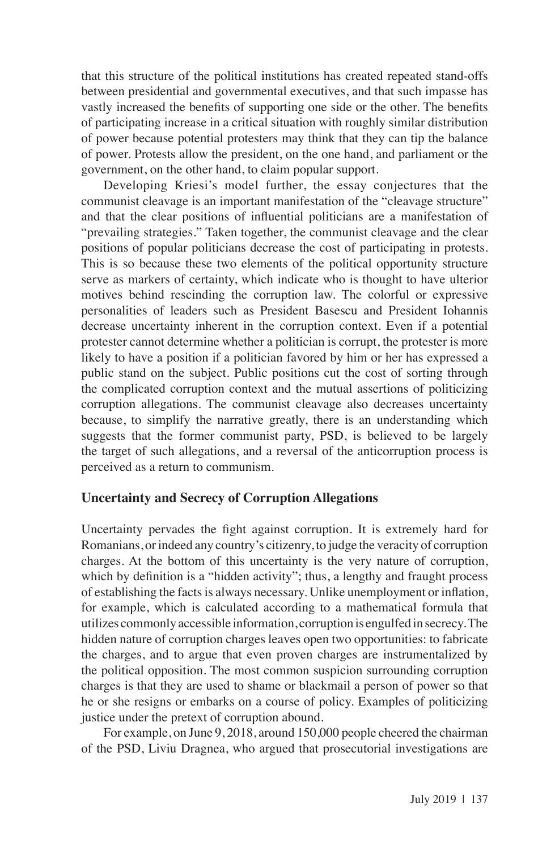that this structure of the political institutions has created repeated stand-offs between presidential and governmental executives, and that such impasse has vastly increased the benefits of supporting one side or the other. The benefits of participating increase in a critical situation with roughly similar distribution of power because potential protesters may think that they can tip the balance of power. Protests allow the president, on the one hand, and parliament or the government, on the other hand, to claim popular support.

Developing Kriesi's model further, the essay conjectures that the communist cleavage is an important manifestation of the "cleavage structure" and that the clear positions of influential politicians are a manifestation of "prevailing strategies." Taken together, the communist cleavage and the clear positions of popular politicians decrease the cost of participating in protests. This is so because these two elements of the political opportunity structure serve as markers of certainty, which indicate who is thought to have ulterior motives behind rescinding the corruption law. The colorful or expressive personalities of leaders such as President Basescu and President Iohannis decrease uncertainty inherent in the corruption context. Even if a potential protester cannot determine whether a politician is corrupt, the protester is more likely to have a position if a politician favored by him or her has expressed a public stand on the subject. Public positions cut the cost of sorting through the complicated corruption context and the mutual assertions of politicizing corruption allegations. The communist cleavage also decreases uncertainty because, to simplify the narrative greatly, there is an understanding which suggests that the former communist party, PSD, is believed to be largely the target of such allegations, and a reversal of the anticorruption process is perceived as a return to communism.

#### **Uncertainty and Secrecy of Corruption Allegations**

Uncertainty pervades the fight against corruption. It is extremely hard for Romanians, or indeed any country's citizenry, to judge the veracity of corruption charges. At the bottom of this uncertainty is the very nature of corruption, which by definition is a "hidden activity"; thus, a lengthy and fraught process of establishing the facts is always necessary. Unlike unemployment or inflation, for example, which is calculated according to a mathematical formula that utilizes commonly accessible information, corruption is engulfed in secrecy. The hidden nature of corruption charges leaves open two opportunities: to fabricate the charges, and to argue that even proven charges are instrumentalized by the political opposition. The most common suspicion surrounding corruption charges is that they are used to shame or blackmail a person of power so that he or she resigns or embarks on a course of policy. Examples of politicizing justice under the pretext of corruption abound.

For example, on June 9, 2018, around 150,000 people cheered the chairman of the PSD, Liviu Dragnea, who argued that prosecutorial investigations are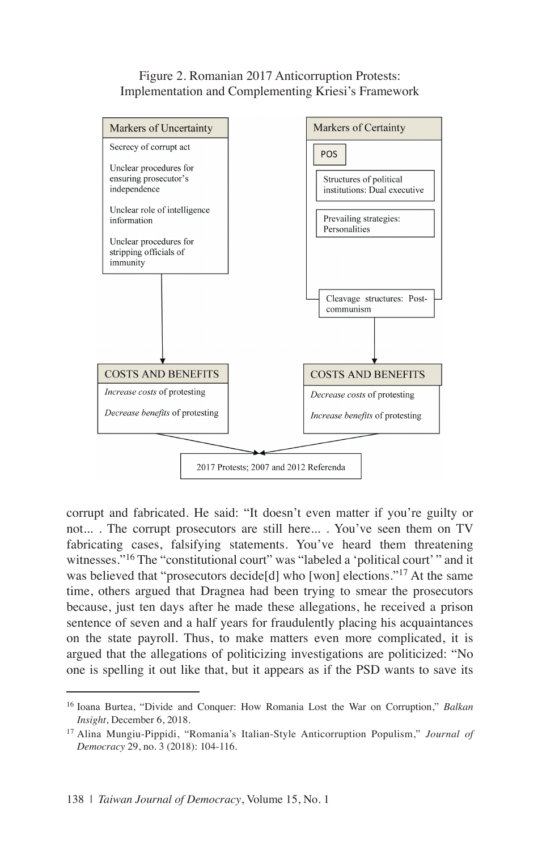#### Figure 2. Romanian 2017 Anticorruption Protests: Implementation and Complementing Kriesi's Framework



corrupt and fabricated. He said: "It doesn't even matter if you're guilty or not... . The corrupt prosecutors are still here... . You've seen them on TV fabricating cases, falsifying statements. You've heard them threatening witnesses."<sup>16</sup> The "constitutional court" was "labeled a 'political court'" and it was believed that "prosecutors decide[d] who [won] elections."<sup>17</sup> At the same time, others argued that Dragnea had been trying to smear the prosecutors because, just ten days after he made these allegations, he received a prison sentence of seven and a half years for fraudulently placing his acquaintances on the state payroll. Thus, to make matters even more complicated, it is argued that the allegations of politicizing investigations are politicized: "No one is spelling it out like that, but it appears as if the PSD wants to save its

<sup>16</sup> Ioana Burtea, "Divide and Conquer: How Romania Lost the War on Corruption," *Balkan Insight*, December 6, 2018.

<sup>17</sup> Alina Mungiu-Pippidi, "Romania's Italian-Style Anticorruption Populism," *Journal of Democracy* 29, no. 3 (2018): 104-116.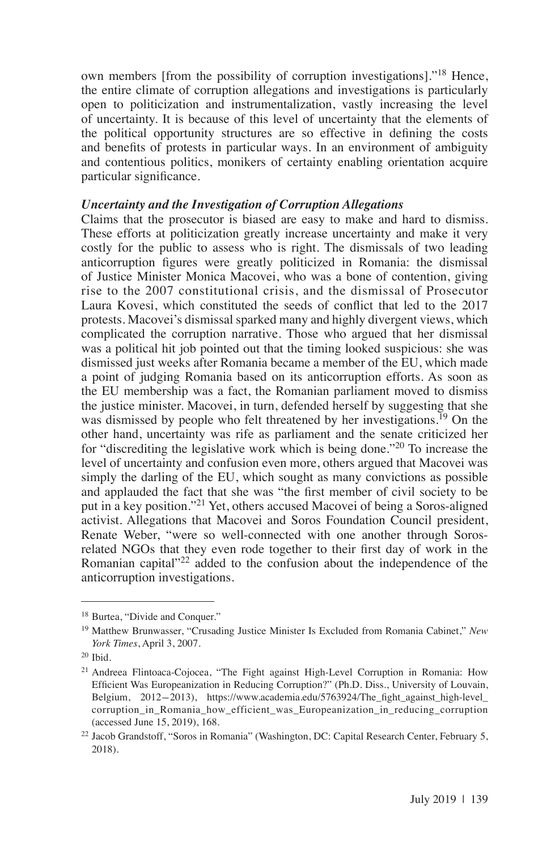own members [from the possibility of corruption investigations]."18 Hence, the entire climate of corruption allegations and investigations is particularly open to politicization and instrumentalization, vastly increasing the level of uncertainty. It is because of this level of uncertainty that the elements of the political opportunity structures are so effective in defining the costs and benefits of protests in particular ways. In an environment of ambiguity and contentious politics, monikers of certainty enabling orientation acquire particular significance.

#### *Uncertainty and the Investigation of Corruption Allegations*

Claims that the prosecutor is biased are easy to make and hard to dismiss. These efforts at politicization greatly increase uncertainty and make it very costly for the public to assess who is right. The dismissals of two leading anticorruption figures were greatly politicized in Romania: the dismissal of Justice Minister Monica Macovei, who was a bone of contention, giving rise to the 2007 constitutional crisis, and the dismissal of Prosecutor Laura Kovesi, which constituted the seeds of conflict that led to the 2017 protests. Macovei's dismissal sparked many and highly divergent views, which complicated the corruption narrative. Those who argued that her dismissal was a political hit job pointed out that the timing looked suspicious: she was dismissed just weeks after Romania became a member of the EU, which made a point of judging Romania based on its anticorruption efforts. As soon as the EU membership was a fact, the Romanian parliament moved to dismiss the justice minister. Macovei, in turn, defended herself by suggesting that she was dismissed by people who felt threatened by her investigations.<sup>19</sup> On the other hand, uncertainty was rife as parliament and the senate criticized her for "discrediting the legislative work which is being done."20 To increase the level of uncertainty and confusion even more, others argued that Macovei was simply the darling of the EU, which sought as many convictions as possible and applauded the fact that she was "the first member of civil society to be put in a key position."21 Yet, others accused Macovei of being a Soros-aligned activist. Allegations that Macovei and Soros Foundation Council president, Renate Weber, "were so well-connected with one another through Sorosrelated NGOs that they even rode together to their first day of work in the Romanian capital"22 added to the confusion about the independence of the anticorruption investigations.

<sup>18</sup> Burtea, "Divide and Conquer."

<sup>19</sup> Matthew Brunwasser, "Crusading Justice Minister Is Excluded from Romania Cabinet," *New York Times*, April 3, 2007.

 $20$  Ibid.

<sup>21</sup> Andreea Flintoaca-Cojocea, "The Fight against High-Level Corruption in Romania: How Efficient Was Europeanization in Reducing Corruption?" (Ph.D. Diss., University of Louvain, Belgium, 2012-2013), https://www.academia.edu/5763924/The\_fight\_against\_high-level\_ corruption\_in\_Romania\_how\_efficient\_was\_Europeanization\_in\_reducing\_corruption (accessed June 15, 2019), 168.

<sup>22</sup> Jacob Grandstoff, "Soros in Romania" (Washington, DC: Capital Research Center, February 5, 2018).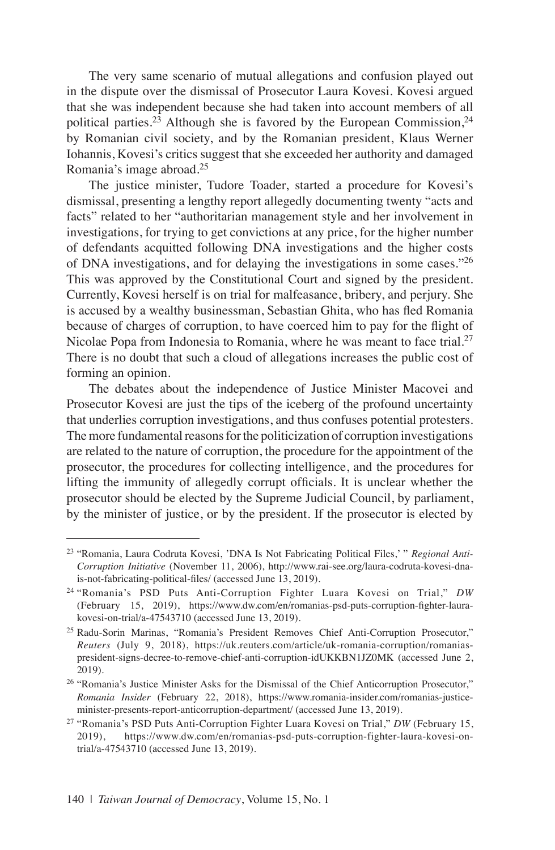The very same scenario of mutual allegations and confusion played out in the dispute over the dismissal of Prosecutor Laura Kovesi. Kovesi argued that she was independent because she had taken into account members of all political parties.<sup>23</sup> Although she is favored by the European Commission.<sup>24</sup> by Romanian civil society, and by the Romanian president, Klaus Werner Iohannis, Kovesi's critics suggest that she exceeded her authority and damaged Romania's image abroad.25

The justice minister, Tudore Toader, started a procedure for Kovesi's dismissal, presenting a lengthy report allegedly documenting twenty "acts and facts" related to her "authoritarian management style and her involvement in investigations, for trying to get convictions at any price, for the higher number of defendants acquitted following DNA investigations and the higher costs of DNA investigations, and for delaying the investigations in some cases."26 This was approved by the Constitutional Court and signed by the president. Currently, Kovesi herself is on trial for malfeasance, bribery, and perjury. She is accused by a wealthy businessman, Sebastian Ghita, who has fled Romania because of charges of corruption, to have coerced him to pay for the flight of Nicolae Popa from Indonesia to Romania, where he was meant to face trial.<sup>27</sup> There is no doubt that such a cloud of allegations increases the public cost of forming an opinion.

The debates about the independence of Justice Minister Macovei and Prosecutor Kovesi are just the tips of the iceberg of the profound uncertainty that underlies corruption investigations, and thus confuses potential protesters. The more fundamental reasons for the politicization of corruption investigations are related to the nature of corruption, the procedure for the appointment of the prosecutor, the procedures for collecting intelligence, and the procedures for lifting the immunity of allegedly corrupt officials. It is unclear whether the prosecutor should be elected by the Supreme Judicial Council, by parliament, by the minister of justice, or by the president. If the prosecutor is elected by

<sup>23</sup> "Romania, Laura Codruta Kovesi, 'DNA Is Not Fabricating Political Files,' " *Regional Anti-Corruption Initiative* (November 11, 2006), http://www.rai-see.org/laura-codruta-kovesi-dnais-not-fabricating-political-files/ (accessed June 13, 2019).

<sup>24</sup> "Romania's PSD Puts Anti-Corruption Fighter Luara Kovesi on Trial," *DW* (February 15, 2019), https://www.dw.com/en/romanias-psd-puts-corruption-fighter-laurakovesi-on-trial/a-47543710 (accessed June 13, 2019).

<sup>25</sup> Radu-Sorin Marinas, "Romania's President Removes Chief Anti-Corruption Prosecutor," *Reuters* (July 9, 2018), https://uk.reuters.com/article/uk-romania-corruption/romaniaspresident-signs-decree-to-remove-chief-anti-corruption-idUKKBN1JZ0MK (accessed June 2, 2019).

<sup>&</sup>lt;sup>26</sup> "Romania's Justice Minister Asks for the Dismissal of the Chief Anticorruption Prosecutor," *Romania Insider* (February 22, 2018), https://www.romania-insider.com/romanias-justiceminister-presents-report-anticorruption-department/ (accessed June 13, 2019).

<sup>27</sup> "Romania's PSD Puts Anti-Corruption Fighter Luara Kovesi on Trial," *DW* (February 15, 2019), https://www.dw.com/en/romanias-psd-puts-corruption-fighter-laura-kovesi-ontrial/a-47543710 (accessed June 13, 2019).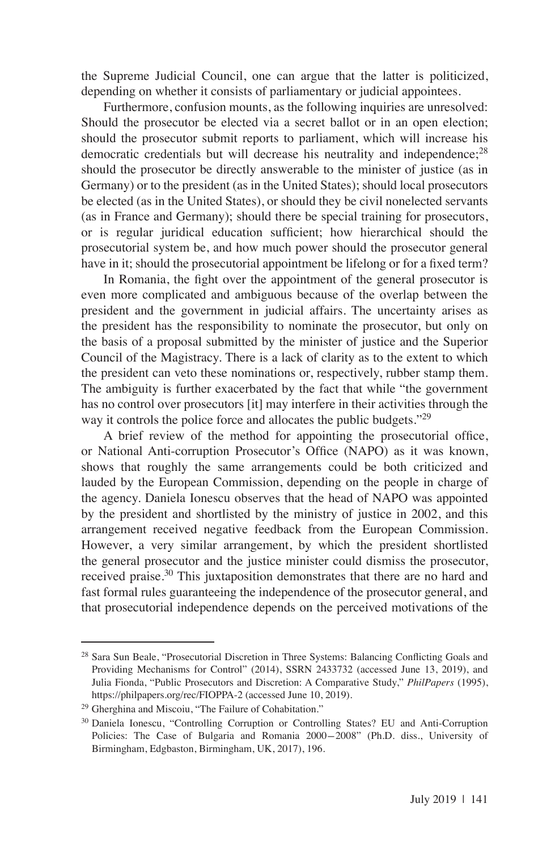the Supreme Judicial Council, one can argue that the latter is politicized, depending on whether it consists of parliamentary or judicial appointees.

Furthermore, confusion mounts, as the following inquiries are unresolved: Should the prosecutor be elected via a secret ballot or in an open election; should the prosecutor submit reports to parliament, which will increase his democratic credentials but will decrease his neutrality and independence;<sup>28</sup> should the prosecutor be directly answerable to the minister of justice (as in Germany) or to the president (as in the United States); should local prosecutors be elected (as in the United States), or should they be civil nonelected servants (as in France and Germany); should there be special training for prosecutors, or is regular juridical education sufficient; how hierarchical should the prosecutorial system be, and how much power should the prosecutor general have in it; should the prosecutorial appointment be lifelong or for a fixed term?

In Romania, the fight over the appointment of the general prosecutor is even more complicated and ambiguous because of the overlap between the president and the government in judicial affairs. The uncertainty arises as the president has the responsibility to nominate the prosecutor, but only on the basis of a proposal submitted by the minister of justice and the Superior Council of the Magistracy. There is a lack of clarity as to the extent to which the president can veto these nominations or, respectively, rubber stamp them. The ambiguity is further exacerbated by the fact that while "the government has no control over prosecutors [it] may interfere in their activities through the way it controls the police force and allocates the public budgets."<sup>29</sup>

A brief review of the method for appointing the prosecutorial office, or National Anti-corruption Prosecutor's Office (NAPO) as it was known, shows that roughly the same arrangements could be both criticized and lauded by the European Commission, depending on the people in charge of the agency. Daniela Ionescu observes that the head of NAPO was appointed by the president and shortlisted by the ministry of justice in 2002, and this arrangement received negative feedback from the European Commission. However, a very similar arrangement, by which the president shortlisted the general prosecutor and the justice minister could dismiss the prosecutor, received praise.<sup>30</sup> This juxtaposition demonstrates that there are no hard and fast formal rules guaranteeing the independence of the prosecutor general, and that prosecutorial independence depends on the perceived motivations of the

<sup>&</sup>lt;sup>28</sup> Sara Sun Beale, "Prosecutorial Discretion in Three Systems: Balancing Conflicting Goals and Providing Mechanisms for Control" (2014), SSRN 2433732 (accessed June 13, 2019), and Julia Fionda, "Public Prosecutors and Discretion: A Comparative Study," *PhilPapers* (1995), https://philpapers.org/rec/FIOPPA-2 (accessed June 10, 2019).

<sup>29</sup> Gherghina and Miscoiu, "The Failure of Cohabitation."

<sup>30</sup> Daniela Ionescu, "Controlling Corruption or Controlling States? EU and Anti-Corruption Policies: The Case of Bulgaria and Romania 2000-2008" (Ph.D. diss., University of Birmingham, Edgbaston, Birmingham, UK, 2017), 196.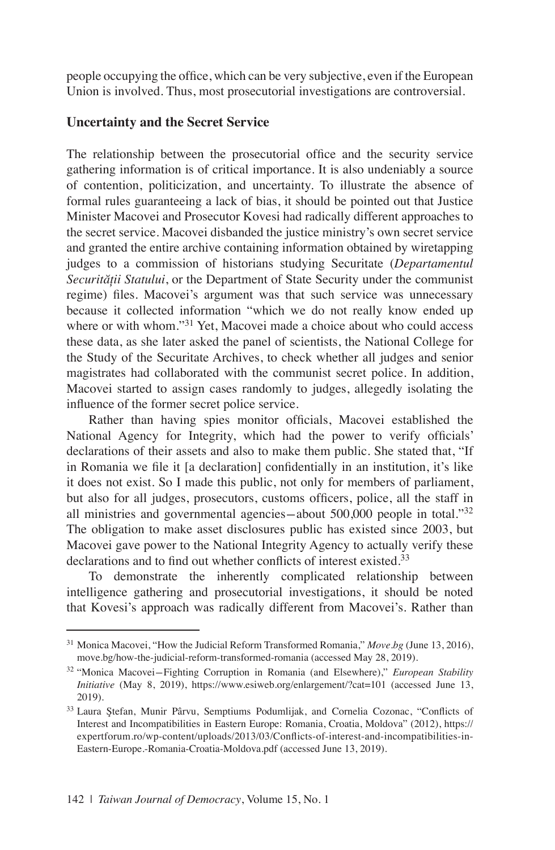people occupying the office, which can be very subjective, even if the European Union is involved. Thus, most prosecutorial investigations are controversial.

### **Uncertainty and the Secret Service**

The relationship between the prosecutorial office and the security service gathering information is of critical importance. It is also undeniably a source of contention, politicization, and uncertainty. To illustrate the absence of formal rules guaranteeing a lack of bias, it should be pointed out that Justice Minister Macovei and Prosecutor Kovesi had radically different approaches to the secret service. Macovei disbanded the justice ministry's own secret service and granted the entire archive containing information obtained by wiretapping judges to a commission of historians studying Securitate (*Departamentul Securității Statului*, or the Department of State Security under the communist regime) files. Macovei's argument was that such service was unnecessary because it collected information "which we do not really know ended up where or with whom."<sup>31</sup> Yet, Macovei made a choice about who could access these data, as she later asked the panel of scientists, the National College for the Study of the Securitate Archives, to check whether all judges and senior magistrates had collaborated with the communist secret police. In addition, Macovei started to assign cases randomly to judges, allegedly isolating the influence of the former secret police service.

Rather than having spies monitor officials, Macovei established the National Agency for Integrity, which had the power to verify officials' declarations of their assets and also to make them public. She stated that, "If in Romania we file it [a declaration] confidentially in an institution, it's like it does not exist. So I made this public, not only for members of parliament, but also for all judges, prosecutors, customs officers, police, all the staff in all ministries and governmental agencies-about  $500,000$  people in total." $32$ The obligation to make asset disclosures public has existed since 2003, but Macovei gave power to the National Integrity Agency to actually verify these declarations and to find out whether conflicts of interest existed.<sup>33</sup>

To demonstrate the inherently complicated relationship between intelligence gathering and prosecutorial investigations, it should be noted that Kovesi's approach was radically different from Macovei's. Rather than

<sup>31</sup> Monica Macovei, "How the Judicial Reform Transformed Romania," *Move.bg* (June 13, 2016), move.bg/how-the-judicial-reform-transformed-romania (accessed May 28, 2019).

<sup>32</sup> "Monica Macovei-Fighting Corruption in Romania (and Elsewhere)," *European Stability Initiative* (May 8, 2019), https://www.esiweb.org/enlargement/?cat=101 (accessed June 13, 2019).

<sup>&</sup>lt;sup>33</sup> Laura Ştefan, Munir Pârvu, Semptiums Podumlijak, and Cornelia Cozonac, "Conflicts of Interest and Incompatibilities in Eastern Europe: Romania, Croatia, Moldova" (2012), https:// expertforum.ro/wp-content/uploads/2013/03/Conflicts-of-interest-and-incompatibilities-in-Eastern-Europe.-Romania-Croatia-Moldova.pdf (accessed June 13, 2019).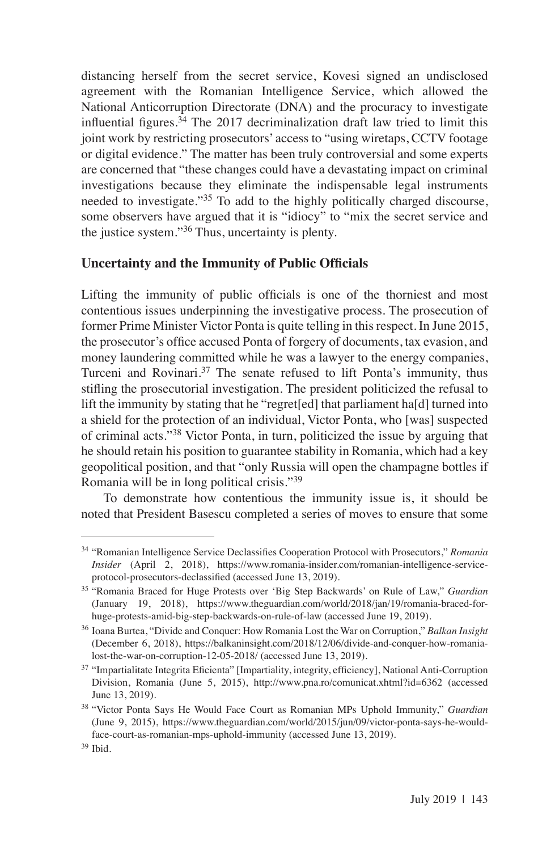distancing herself from the secret service, Kovesi signed an undisclosed agreement with the Romanian Intelligence Service, which allowed the National Anticorruption Directorate (DNA) and the procuracy to investigate influential figures.  $34$  The 2017 decriminalization draft law tried to limit this joint work by restricting prosecutors' access to "using wiretaps, CCTV footage or digital evidence." The matter has been truly controversial and some experts are concerned that "these changes could have a devastating impact on criminal investigations because they eliminate the indispensable legal instruments needed to investigate."35 To add to the highly politically charged discourse, some observers have argued that it is "idiocy" to "mix the secret service and the justice system."36 Thus, uncertainty is plenty.

# **Uncertainty and the Immunity of Public Officials**

Lifting the immunity of public officials is one of the thorniest and most contentious issues underpinning the investigative process. The prosecution of former Prime Minister Victor Ponta is quite telling in this respect. In June 2015, the prosecutor's office accused Ponta of forgery of documents, tax evasion, and money laundering committed while he was a lawyer to the energy companies, Turceni and Rovinari.<sup>37</sup> The senate refused to lift Ponta's immunity, thus stifling the prosecutorial investigation. The president politicized the refusal to lift the immunity by stating that he "regret[ed] that parliament ha[d] turned into a shield for the protection of an individual, Victor Ponta, who [was] suspected of criminal acts."38 Victor Ponta, in turn, politicized the issue by arguing that he should retain his position to guarantee stability in Romania, which had a key geopolitical position, and that "only Russia will open the champagne bottles if Romania will be in long political crisis."39

To demonstrate how contentious the immunity issue is, it should be noted that President Basescu completed a series of moves to ensure that some

<sup>34</sup> "Romanian Intelligence Service Declassifies Cooperation Protocol with Prosecutors," *Romania Insider* (April 2, 2018), https://www.romania-insider.com/romanian-intelligence-serviceprotocol-prosecutors-declassified (accessed June 13, 2019).

<sup>35</sup> "Romania Braced for Huge Protests over 'Big Step Backwards' on Rule of Law," *Guardian* (January 19, 2018), https://www.theguardian.com/world/2018/jan/19/romania-braced-forhuge-protests-amid-big-step-backwards-on-rule-of-law (accessed June 19, 2019).

<sup>36</sup> Ioana Burtea, "Divide and Conquer: How Romania Lost the War on Corruption," *Balkan Insight*  (December 6, 2018), https://balkaninsight.com/2018/12/06/divide-and-conquer-how-romanialost-the-war-on-corruption-12-05-2018/ (accessed June 13, 2019).

<sup>37</sup> "Impartialitate Integrita Eficienta" [Impartiality, integrity, efficiency], National Anti-Corruption Division, Romania (June 5, 2015), http://www.pna.ro/comunicat.xhtml?id=6362 (accessed June 13, 2019).

<sup>38</sup> "Victor Ponta Says He Would Face Court as Romanian MPs Uphold Immunity," *Guardian* (June 9, 2015), https://www.theguardian.com/world/2015/jun/09/victor-ponta-says-he-wouldface-court-as-romanian-mps-uphold-immunity (accessed June 13, 2019).

<sup>39</sup> Ibid.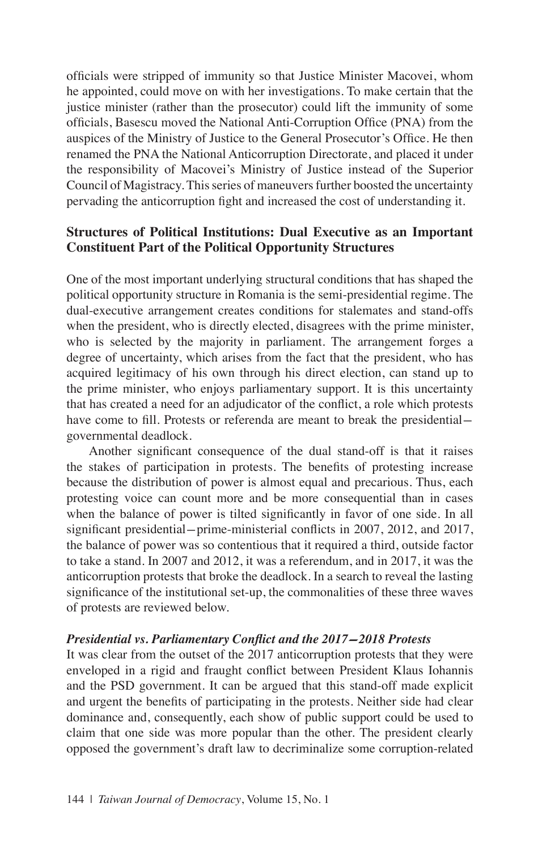officials were stripped of immunity so that Justice Minister Macovei, whom he appointed, could move on with her investigations. To make certain that the justice minister (rather than the prosecutor) could lift the immunity of some officials, Basescu moved the National Anti-Corruption Office (PNA) from the auspices of the Ministry of Justice to the General Prosecutor's Office. He then renamed the PNA the National Anticorruption Directorate, and placed it under the responsibility of Macovei's Ministry of Justice instead of the Superior Council of Magistracy. This series of maneuvers further boosted the uncertainty pervading the anticorruption fight and increased the cost of understanding it.

# **Structures of Political Institutions: Dual Executive as an Important Constituent Part of the Political Opportunity Structures**

One of the most important underlying structural conditions that has shaped the political opportunity structure in Romania is the semi-presidential regime. The dual-executive arrangement creates conditions for stalemates and stand-offs when the president, who is directly elected, disagrees with the prime minister, who is selected by the majority in parliament. The arrangement forges a degree of uncertainty, which arises from the fact that the president, who has acquired legitimacy of his own through his direct election, can stand up to the prime minister, who enjoys parliamentary support. It is this uncertainty that has created a need for an adjudicator of the conflict, a role which protests have come to fill. Protests or referenda are meant to break the presidential governmental deadlock.

Another significant consequence of the dual stand-off is that it raises the stakes of participation in protests. The benefits of protesting increase because the distribution of power is almost equal and precarious. Thus, each protesting voice can count more and be more consequential than in cases when the balance of power is tilted significantly in favor of one side. In all significant presidential-prime-ministerial conflicts in 2007, 2012, and 2017, the balance of power was so contentious that it required a third, outside factor to take a stand. In 2007 and 2012, it was a referendum, and in 2017, it was the anticorruption protests that broke the deadlock. In a search to reveal the lasting significance of the institutional set-up, the commonalities of these three waves of protests are reviewed below.

#### *Presidential vs. Parliamentary Conflict and the 2017-2018 Protests*

It was clear from the outset of the 2017 anticorruption protests that they were enveloped in a rigid and fraught conflict between President Klaus Iohannis and the PSD government. It can be argued that this stand-off made explicit and urgent the benefits of participating in the protests. Neither side had clear dominance and, consequently, each show of public support could be used to claim that one side was more popular than the other. The president clearly opposed the government's draft law to decriminalize some corruption-related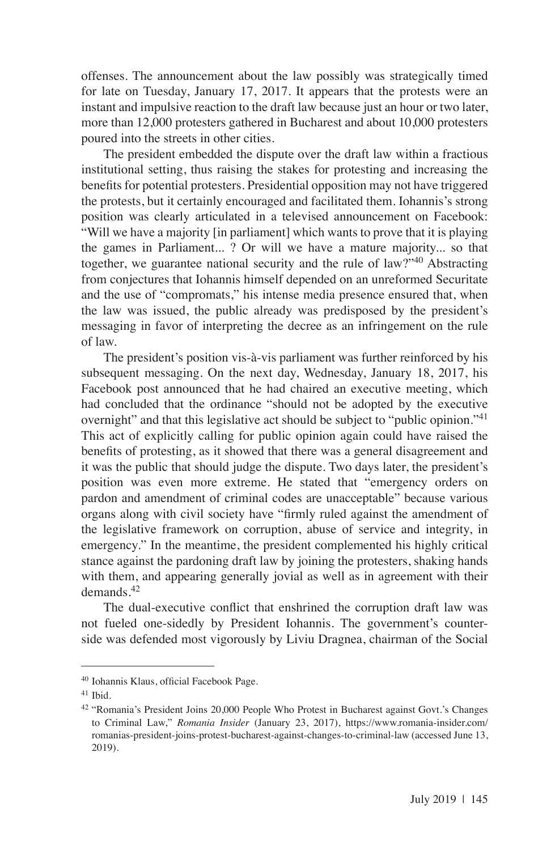offenses. The announcement about the law possibly was strategically timed for late on Tuesday, January 17, 2017. It appears that the protests were an instant and impulsive reaction to the draft law because just an hour or two later, more than 12,000 protesters gathered in Bucharest and about 10,000 protesters poured into the streets in other cities.

The president embedded the dispute over the draft law within a fractious institutional setting, thus raising the stakes for protesting and increasing the benefits for potential protesters. Presidential opposition may not have triggered the protests, but it certainly encouraged and facilitated them. Iohannis's strong position was clearly articulated in a televised announcement on Facebook: "Will we have a majority [in parliament] which wants to prove that it is playing the games in Parliament... ? Or will we have a mature majority... so that together, we guarantee national security and the rule of law?"<sup>40</sup> Abstracting from conjectures that Iohannis himself depended on an unreformed Securitate and the use of "compromats," his intense media presence ensured that, when the law was issued, the public already was predisposed by the president's messaging in favor of interpreting the decree as an infringement on the rule of law.

The president's position vis-à-vis parliament was further reinforced by his subsequent messaging. On the next day, Wednesday, January 18, 2017, his Facebook post announced that he had chaired an executive meeting, which had concluded that the ordinance "should not be adopted by the executive overnight" and that this legislative act should be subject to "public opinion."<sup>41</sup> This act of explicitly calling for public opinion again could have raised the benefits of protesting, as it showed that there was a general disagreement and it was the public that should judge the dispute. Two days later, the president's position was even more extreme. He stated that "emergency orders on pardon and amendment of criminal codes are unacceptable" because various organs along with civil society have "firmly ruled against the amendment of the legislative framework on corruption, abuse of service and integrity, in emergency." In the meantime, the president complemented his highly critical stance against the pardoning draft law by joining the protesters, shaking hands with them, and appearing generally jovial as well as in agreement with their demands<sup>42</sup>

The dual-executive conflict that enshrined the corruption draft law was not fueled one-sidedly by President Iohannis. The government's counterside was defended most vigorously by Liviu Dragnea, chairman of the Social

<sup>40</sup> Iohannis Klaus, official Facebook Page.

<sup>41</sup> Ibid.

<sup>42</sup> "Romania's President Joins 20,000 People Who Protest in Bucharest against Govt.'s Changes to Criminal Law," *Romania Insider* (January 23, 2017), https://www.romania-insider.com/ romanias-president-joins-protest-bucharest-against-changes-to-criminal-law (accessed June 13, 2019).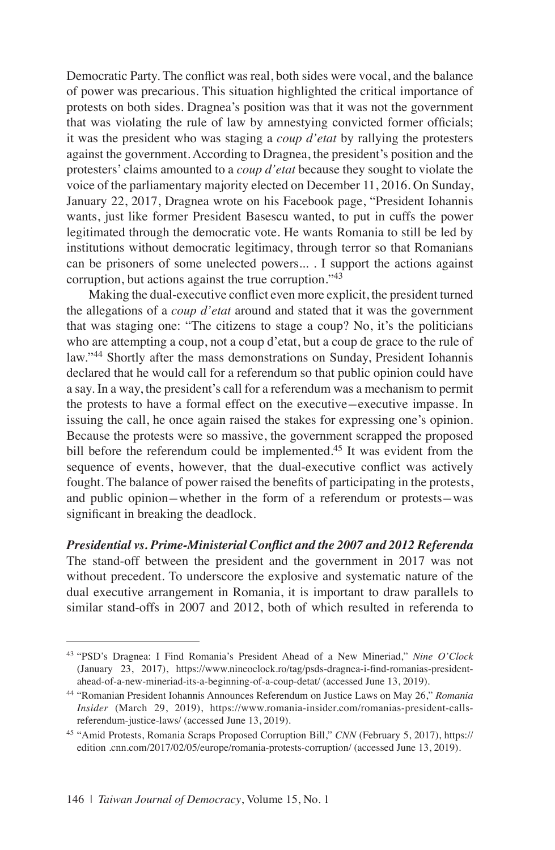Democratic Party. The conflict was real, both sides were vocal, and the balance of power was precarious. This situation highlighted the critical importance of protests on both sides. Dragnea's position was that it was not the government that was violating the rule of law by amnestying convicted former officials; it was the president who was staging a *coup d'etat* by rallying the protesters against the government. According to Dragnea, the president's position and the protesters' claims amounted to a *coup d'etat* because they sought to violate the voice of the parliamentary majority elected on December 11, 2016. On Sunday, January 22, 2017, Dragnea wrote on his Facebook page, "President Iohannis wants, just like former President Basescu wanted, to put in cuffs the power legitimated through the democratic vote. He wants Romania to still be led by institutions without democratic legitimacy, through terror so that Romanians can be prisoners of some unelected powers... . I support the actions against corruption, but actions against the true corruption."<sup>43</sup>

Making the dual-executive conflict even more explicit, the president turned the allegations of a *coup d'etat* around and stated that it was the government that was staging one: "The citizens to stage a coup? No, it's the politicians who are attempting a coup, not a coup d'etat, but a coup de grace to the rule of law."<sup>44</sup> Shortly after the mass demonstrations on Sunday, President Iohannis declared that he would call for a referendum so that public opinion could have a say. In a way, the president's call for a referendum was a mechanism to permit the protests to have a formal effect on the executive-executive impasse. In issuing the call, he once again raised the stakes for expressing one's opinion. Because the protests were so massive, the government scrapped the proposed bill before the referendum could be implemented.<sup>45</sup> It was evident from the sequence of events, however, that the dual-executive conflict was actively fought. The balance of power raised the benefits of participating in the protests, and public opinion-whether in the form of a referendum or protests-was significant in breaking the deadlock.

### *Presidential vs. Prime-Ministerial Conflict and the 2007 and 2012 Referenda*

The stand-off between the president and the government in 2017 was not without precedent. To underscore the explosive and systematic nature of the dual executive arrangement in Romania, it is important to draw parallels to similar stand-offs in 2007 and 2012, both of which resulted in referenda to

<sup>43</sup> "PSD's Dragnea: I Find Romania's President Ahead of a New Mineriad," *Nine O'Clock*  (January 23, 2017), https://www.nineoclock.ro/tag/psds-dragnea-i-find-romanias-presidentahead-of-a-new-mineriad-its-a-beginning-of-a-coup-detat/ (accessed June 13, 2019).

<sup>44</sup> "Romanian President Iohannis Announces Referendum on Justice Laws on May 26," *Romania Insider* (March 29, 2019), https://www.romania-insider.com/romanias-president-callsreferendum-justice-laws/ (accessed June 13, 2019).

<sup>45</sup> "Amid Protests, Romania Scraps Proposed Corruption Bill," *CNN* (February 5, 2017), https:// edition .cnn.com/2017/02/05/europe/romania-protests-corruption/ (accessed June 13, 2019).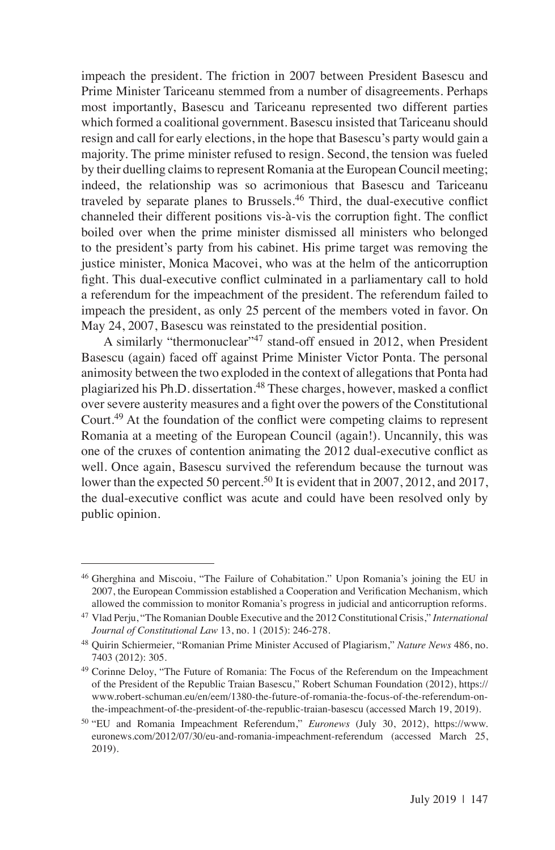impeach the president. The friction in 2007 between President Basescu and Prime Minister Tariceanu stemmed from a number of disagreements. Perhaps most importantly, Basescu and Tariceanu represented two different parties which formed a coalitional government. Basescu insisted that Tariceanu should resign and call for early elections, in the hope that Basescu's party would gain a majority. The prime minister refused to resign. Second, the tension was fueled by their duelling claims to represent Romania at the European Council meeting; indeed, the relationship was so acrimonious that Basescu and Tariceanu traveled by separate planes to Brussels.<sup>46</sup> Third, the dual-executive conflict channeled their different positions vis-à-vis the corruption fight. The conflict boiled over when the prime minister dismissed all ministers who belonged to the president's party from his cabinet. His prime target was removing the justice minister, Monica Macovei, who was at the helm of the anticorruption fight. This dual-executive conflict culminated in a parliamentary call to hold a referendum for the impeachment of the president. The referendum failed to impeach the president, as only 25 percent of the members voted in favor. On May 24, 2007, Basescu was reinstated to the presidential position.

A similarly "thermonuclear"<sup>47</sup> stand-off ensued in 2012, when President Basescu (again) faced off against Prime Minister Victor Ponta. The personal animosity between the two exploded in the context of allegations that Ponta had plagiarized his Ph.D. dissertation.<sup>48</sup> These charges, however, masked a conflict over severe austerity measures and a fight over the powers of the Constitutional Court.49 At the foundation of the conflict were competing claims to represent Romania at a meeting of the European Council (again!). Uncannily, this was one of the cruxes of contention animating the 2012 dual-executive conflict as well. Once again, Basescu survived the referendum because the turnout was lower than the expected 50 percent.<sup>50</sup> It is evident that in 2007, 2012, and 2017, the dual-executive conflict was acute and could have been resolved only by public opinion.

<sup>46</sup> Gherghina and Miscoiu, "The Failure of Cohabitation." Upon Romania's joining the EU in 2007, the European Commission established a Cooperation and Verification Mechanism, which allowed the commission to monitor Romania's progress in judicial and anticorruption reforms.

<sup>47</sup> Vlad Perju, "The Romanian Double Executive and the 2012 Constitutional Crisis," *International Journal of Constitutional Law* 13, no. 1 (2015): 246-278.

<sup>48</sup> Quirin Schiermeier, "Romanian Prime Minister Accused of Plagiarism," *Nature News* 486, no. 7403 (2012): 305.

<sup>&</sup>lt;sup>49</sup> Corinne Deloy, "The Future of Romania: The Focus of the Referendum on the Impeachment of the President of the Republic Traian Basescu," Robert Schuman Foundation (2012), https:// www.robert-schuman.eu/en/eem/1380-the-future-of-romania-the-focus-of-the-referendum-onthe-impeachment-of-the-president-of-the-republic-traian-basescu (accessed March 19, 2019).

<sup>50</sup> "EU and Romania Impeachment Referendum," *Euronews* (July 30, 2012), https://www. euronews.com/2012/07/30/eu-and-romania-impeachment-referendum (accessed March 25, 2019).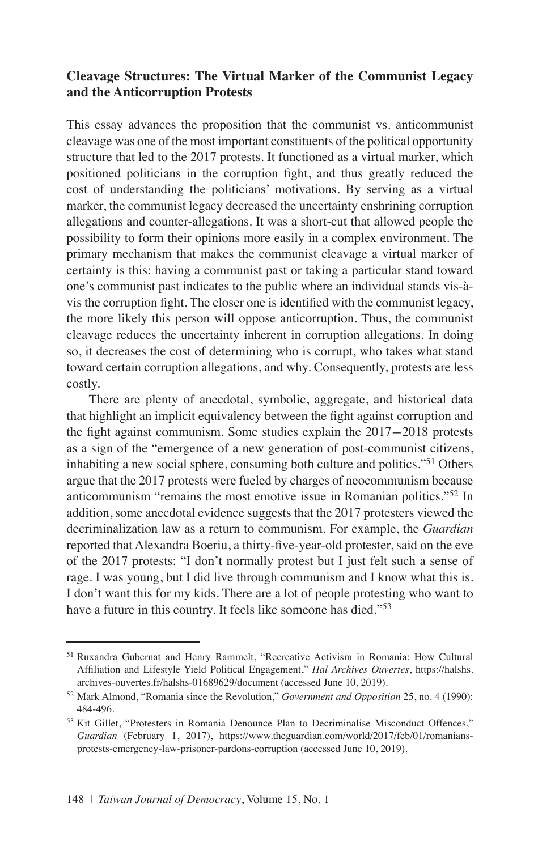# **Cleavage Structures: The Virtual Marker of the Communist Legacy and the Anticorruption Protests**

This essay advances the proposition that the communist vs. anticommunist cleavage was one of the most important constituents of the political opportunity structure that led to the 2017 protests. It functioned as a virtual marker, which positioned politicians in the corruption fight, and thus greatly reduced the cost of understanding the politicians' motivations. By serving as a virtual marker, the communist legacy decreased the uncertainty enshrining corruption allegations and counter-allegations. It was a short-cut that allowed people the possibility to form their opinions more easily in a complex environment. The primary mechanism that makes the communist cleavage a virtual marker of certainty is this: having a communist past or taking a particular stand toward one's communist past indicates to the public where an individual stands vis-àvis the corruption fight. The closer one is identified with the communist legacy, the more likely this person will oppose anticorruption. Thus, the communist cleavage reduces the uncertainty inherent in corruption allegations. In doing so, it decreases the cost of determining who is corrupt, who takes what stand toward certain corruption allegations, and why. Consequently, protests are less costly.

There are plenty of anecdotal, symbolic, aggregate, and historical data that highlight an implicit equivalency between the fight against corruption and the fight against communism. Some studies explain the 2017-2018 protests as a sign of the "emergence of a new generation of post-communist citizens, inhabiting a new social sphere, consuming both culture and politics."51 Others argue that the 2017 protests were fueled by charges of neocommunism because anticommunism "remains the most emotive issue in Romanian politics."52 In addition, some anecdotal evidence suggests that the 2017 protesters viewed the decriminalization law as a return to communism. For example, the *Guardian* reported that Alexandra Boeriu, a thirty-five-year-old protester, said on the eve of the 2017 protests: "I don't normally protest but I just felt such a sense of rage. I was young, but I did live through communism and I know what this is. I don't want this for my kids. There are a lot of people protesting who want to have a future in this country. It feels like someone has died."<sup>53</sup>

<sup>51</sup> Ruxandra Gubernat and Henry Rammelt, "Recreative Activism in Romania: How Cultural Affiliation and Lifestyle Yield Political Engagement," *Hal Archives Ouvertes*, https://halshs. archives-ouvertes.fr/halshs-01689629/document (accessed June 10, 2019).

<sup>52</sup> Mark Almond, "Romania since the Revolution," *Government and Opposition* 25, no. 4 (1990): 484-496.

<sup>53</sup> Kit Gillet, "Protesters in Romania Denounce Plan to Decriminalise Misconduct Offences," *Guardian* (February 1, 2017), https://www.theguardian.com/world/2017/feb/01/romaniansprotests-emergency-law-prisoner-pardons-corruption (accessed June 10, 2019).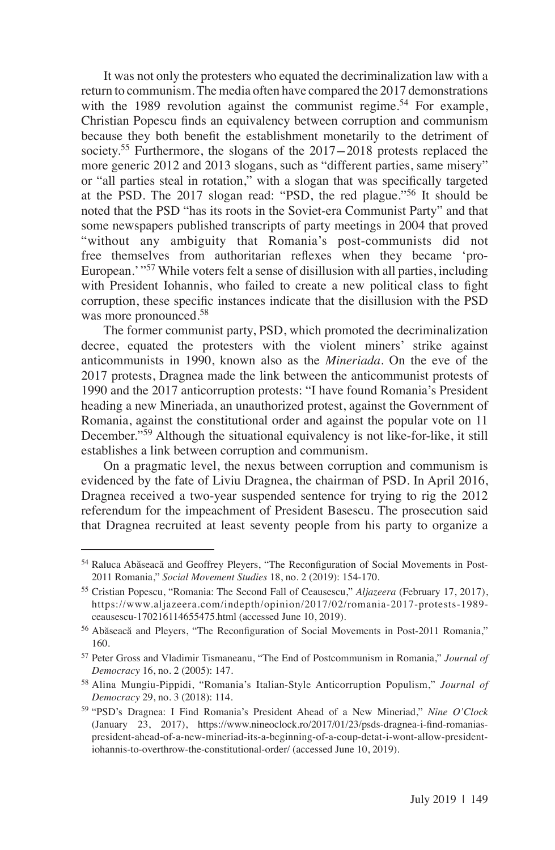It was not only the protesters who equated the decriminalization law with a return to communism. The media often have compared the 2017 demonstrations with the 1989 revolution against the communist regime.<sup>54</sup> For example, Christian Popescu finds an equivalency between corruption and communism because they both benefit the establishment monetarily to the detriment of society.<sup>55</sup> Furthermore, the slogans of the 2017-2018 protests replaced the more generic 2012 and 2013 slogans, such as "different parties, same misery" or "all parties steal in rotation," with a slogan that was specifically targeted at the PSD. The 2017 slogan read: "PSD, the red plague."56 It should be noted that the PSD "has its roots in the Soviet-era Communist Party" and that some newspapers published transcripts of party meetings in 2004 that proved "without any ambiguity that Romania's post-communists did not free themselves from authoritarian reflexes when they became 'pro-European.' "57 While voters felt a sense of disillusion with all parties, including with President Iohannis, who failed to create a new political class to fight corruption, these specific instances indicate that the disillusion with the PSD was more pronounced.58

The former communist party, PSD, which promoted the decriminalization decree, equated the protesters with the violent miners' strike against anticommunists in 1990, known also as the *Mineriada*. On the eve of the 2017 protests, Dragnea made the link between the anticommunist protests of 1990 and the 2017 anticorruption protests: "I have found Romania's President heading a new Mineriada, an unauthorized protest, against the Government of Romania, against the constitutional order and against the popular vote on 11 December."<sup>59</sup> Although the situational equivalency is not like-for-like, it still establishes a link between corruption and communism.

On a pragmatic level, the nexus between corruption and communism is evidenced by the fate of Liviu Dragnea, the chairman of PSD. In April 2016, Dragnea received a two-year suspended sentence for trying to rig the 2012 referendum for the impeachment of President Basescu. The prosecution said that Dragnea recruited at least seventy people from his party to organize a

<sup>54</sup> Raluca Abăseacă and Geoffrey Pleyers, "The Reconfiguration of Social Movements in Post-2011 Romania," *Social Movement Studies* 18, no. 2 (2019): 154-170.

<sup>55</sup> Cristian Popescu, "Romania: The Second Fall of Ceausescu," *Aljazeera* (February 17, 2017), https://www.aljazeera.com/indepth/opinion/2017/02/romania-2017-protests-1989 ceausescu-170216114655475.html (accessed June 10, 2019).

<sup>56</sup> Abăseacă and Pleyers, "The Reconfiguration of Social Movements in Post-2011 Romania," 160.

<sup>57</sup> Peter Gross and Vladimir Tismaneanu, "The End of Postcommunism in Romania," *Journal of Democracy* 16, no. 2 (2005): 147.

<sup>58</sup> Alina Mungiu-Pippidi, "Romania's Italian-Style Anticorruption Populism," *Journal of Democracy* 29, no. 3 (2018): 114.

<sup>59</sup> "PSD's Dragnea: I Find Romania's President Ahead of a New Mineriad," *Nine O'Clock* (January 23, 2017), https://www.nineoclock.ro/2017/01/23/psds-dragnea-i-find-romaniaspresident-ahead-of-a-new-mineriad-its-a-beginning-of-a-coup-detat-i-wont-allow-presidentiohannis-to-overthrow-the-constitutional-order/ (accessed June 10, 2019).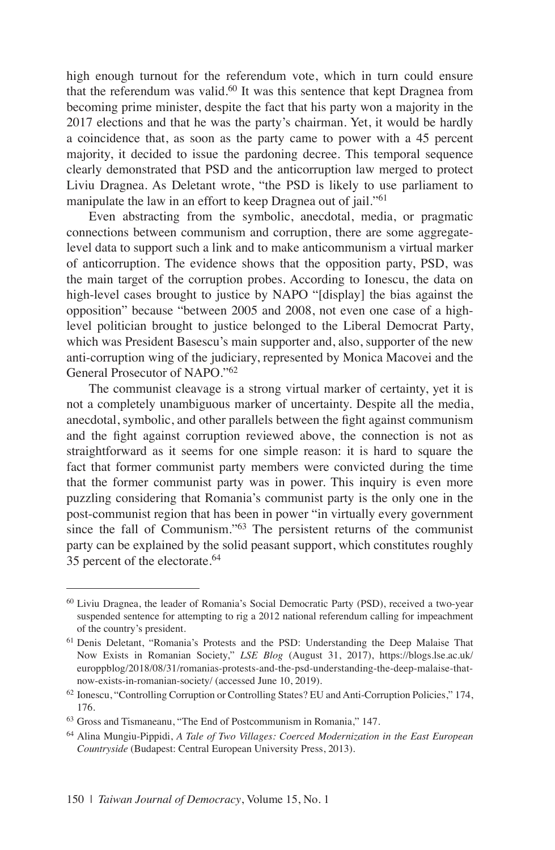high enough turnout for the referendum vote, which in turn could ensure that the referendum was valid.60 It was this sentence that kept Dragnea from becoming prime minister, despite the fact that his party won a majority in the 2017 elections and that he was the party's chairman. Yet, it would be hardly a coincidence that, as soon as the party came to power with a 45 percent majority, it decided to issue the pardoning decree. This temporal sequence clearly demonstrated that PSD and the anticorruption law merged to protect Liviu Dragnea. As Deletant wrote, "the PSD is likely to use parliament to manipulate the law in an effort to keep Dragnea out of jail."<sup>61</sup>

Even abstracting from the symbolic, anecdotal, media, or pragmatic connections between communism and corruption, there are some aggregatelevel data to support such a link and to make anticommunism a virtual marker of anticorruption. The evidence shows that the opposition party, PSD, was the main target of the corruption probes. According to Ionescu, the data on high-level cases brought to justice by NAPO "[display] the bias against the opposition" because "between 2005 and 2008, not even one case of a highlevel politician brought to justice belonged to the Liberal Democrat Party, which was President Basescu's main supporter and, also, supporter of the new anti-corruption wing of the judiciary, represented by Monica Macovei and the General Prosecutor of NAPO."<sup>62</sup>

The communist cleavage is a strong virtual marker of certainty, yet it is not a completely unambiguous marker of uncertainty. Despite all the media, anecdotal, symbolic, and other parallels between the fight against communism and the fight against corruption reviewed above, the connection is not as straightforward as it seems for one simple reason: it is hard to square the fact that former communist party members were convicted during the time that the former communist party was in power. This inquiry is even more puzzling considering that Romania's communist party is the only one in the post-communist region that has been in power "in virtually every government since the fall of Communism."63 The persistent returns of the communist party can be explained by the solid peasant support, which constitutes roughly 35 percent of the electorate.<sup>64</sup>

<sup>60</sup> Liviu Dragnea, the leader of Romania's Social Democratic Party (PSD), received a two-year suspended sentence for attempting to rig a 2012 national referendum calling for impeachment of the country's president.

<sup>61</sup> Denis Deletant, "Romania's Protests and the PSD: Understanding the Deep Malaise That Now Exists in Romanian Society," *LSE Blog* (August 31, 2017), https://blogs.lse.ac.uk/ europpblog/2018/08/31/romanias-protests-and-the-psd-understanding-the-deep-malaise-thatnow-exists-in-romanian-society/ (accessed June 10, 2019).

<sup>62</sup> Ionescu, "Controlling Corruption or Controlling States? EU and Anti-Corruption Policies," 174, 176.

<sup>63</sup> Gross and Tismaneanu, "The End of Postcommunism in Romania," 147.

<sup>64</sup> Alina Mungiu-Pippidi, *A Tale of Two Villages: Coerced Modernization in the East European Countryside* (Budapest: Central European University Press, 2013).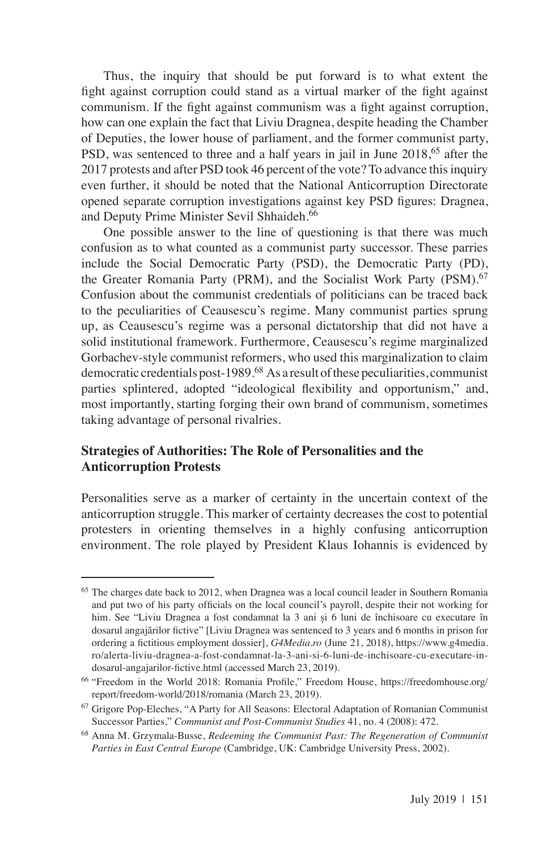Thus, the inquiry that should be put forward is to what extent the fight against corruption could stand as a virtual marker of the fight against communism. If the fight against communism was a fight against corruption, how can one explain the fact that Liviu Dragnea, despite heading the Chamber of Deputies, the lower house of parliament, and the former communist party, PSD, was sentenced to three and a half years in jail in June 2018,<sup>65</sup> after the 2017 protests and after PSD took 46 percent of the vote? To advance this inquiry even further, it should be noted that the National Anticorruption Directorate opened separate corruption investigations against key PSD figures: Dragnea, and Deputy Prime Minister Sevil Shhaideh.<sup>66</sup>

One possible answer to the line of questioning is that there was much confusion as to what counted as a communist party successor. These parries include the Social Democratic Party (PSD), the Democratic Party (PD), the Greater Romania Party (PRM), and the Socialist Work Party (PSM).<sup>67</sup> Confusion about the communist credentials of politicians can be traced back to the peculiarities of Ceausescu's regime. Many communist parties sprung up, as Ceausescu's regime was a personal dictatorship that did not have a solid institutional framework. Furthermore, Ceausescu's regime marginalized Gorbachev-style communist reformers, who used this marginalization to claim democratic credentials post-1989.<sup>68</sup> As a result of these peculiarities, communist parties splintered, adopted "ideological flexibility and opportunism," and, most importantly, starting forging their own brand of communism, sometimes taking advantage of personal rivalries.

### **Strategies of Authorities: The Role of Personalities and the Anticorruption Protests**

Personalities serve as a marker of certainty in the uncertain context of the anticorruption struggle. This marker of certainty decreases the cost to potential protesters in orienting themselves in a highly confusing anticorruption environment. The role played by President Klaus Iohannis is evidenced by

<sup>&</sup>lt;sup>65</sup> The charges date back to 2012, when Dragnea was a local council leader in Southern Romania and put two of his party officials on the local council's payroll, despite their not working for him. See "Liviu Dragnea a fost condamnat la 3 ani și 6 luni de închisoare cu executare în dosarul angajărilor fictive" [Liviu Dragnea was sentenced to 3 years and 6 months in prison for ordering a fictitious employment dossier], *G4Media.ro* (June 21, 2018), https://www.g4media. ro/alerta-liviu-dragnea-a-fost-condamnat-la-3-ani-si-6-luni-de-inchisoare-cu-executare-indosarul-angajarilor-fictive.html (accessed March 23, 2019).

<sup>66</sup> "Freedom in the World 2018: Romania Profile," Freedom House, https://freedomhouse.org/ report/freedom-world/2018/romania (March 23, 2019).

<sup>67</sup> Grigore Pop-Eleches, "A Party for All Seasons: Electoral Adaptation of Romanian Communist Successor Parties," *Communist and Post-Communist Studies* 41, no. 4 (2008): 472.

<sup>68</sup> Anna M. Grzymala-Busse, *Redeeming the Communist Past: The Regeneration of Communist Parties in East Central Europe* (Cambridge, UK: Cambridge University Press, 2002).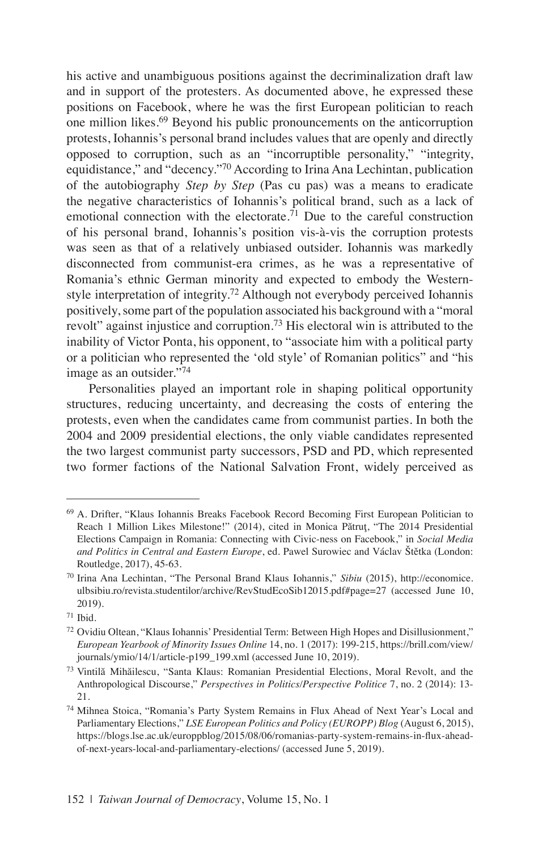his active and unambiguous positions against the decriminalization draft law and in support of the protesters. As documented above, he expressed these positions on Facebook, where he was the first European politician to reach one million likes.69 Beyond his public pronouncements on the anticorruption protests, Iohannis's personal brand includes values that are openly and directly opposed to corruption, such as an "incorruptible personality," "integrity, equidistance," and "decency."70 According to Irina Ana Lechintan, publication of the autobiography *Step by Step* (Pas cu pas) was a means to eradicate the negative characteristics of Iohannis's political brand, such as a lack of emotional connection with the electorate.<sup>71</sup> Due to the careful construction of his personal brand, Iohannis's position vis-à-vis the corruption protests was seen as that of a relatively unbiased outsider. Iohannis was markedly disconnected from communist-era crimes, as he was a representative of Romania's ethnic German minority and expected to embody the Westernstyle interpretation of integrity.<sup>72</sup> Although not everybody perceived Iohannis positively, some part of the population associated his background with a "moral revolt" against injustice and corruption.<sup>73</sup> His electoral win is attributed to the inability of Victor Ponta, his opponent, to "associate him with a political party or a politician who represented the 'old style' of Romanian politics" and "his image as an outsider."<sup>74</sup>

Personalities played an important role in shaping political opportunity structures, reducing uncertainty, and decreasing the costs of entering the protests, even when the candidates came from communist parties. In both the 2004 and 2009 presidential elections, the only viable candidates represented the two largest communist party successors, PSD and PD, which represented two former factions of the National Salvation Front, widely perceived as

<sup>69</sup> A. Drifter, "Klaus Iohannis Breaks Facebook Record Becoming First European Politician to Reach 1 Million Likes Milestone!" (2014), cited in Monica Pătrut, "The 2014 Presidential Elections Campaign in Romania: Connecting with Civic-ness on Facebook," in *Social Media and Politics in Central and Eastern Europe*, ed. Pawel Surowiec and Václav Štětka (London: Routledge, 2017), 45-63.

<sup>70</sup> Irina Ana Lechintan, "The Personal Brand Klaus Iohannis," *Sibiu* (2015), http://economice. ulbsibiu.ro/revista.studentilor/archive/RevStudEcoSib12015.pdf#page=27 (accessed June 10, 2019).

<sup>71</sup> Ibid.

 $72$  Ovidiu Oltean, "Klaus Iohannis' Presidential Term: Between High Hopes and Disillusionment," *European Yearbook of Minority Issues Online* 14, no. 1 (2017): 199-215, https://brill.com/view/ journals/ymio/14/1/article-p199\_199.xml (accessed June 10, 2019).

<sup>73</sup> Vintilă Mihăilescu, "Santa Klaus: Romanian Presidential Elections, Moral Revolt, and the Anthropological Discourse," *Perspectives in Politics/Perspective Politice* 7, no. 2 (2014): 13- 21.

<sup>74</sup> Mihnea Stoica, "Romania's Party System Remains in Flux Ahead of Next Year's Local and Parliamentary Elections," *LSE European Politics and Policy (EUROPP) Blog* (August 6, 2015), https://blogs.lse.ac.uk/europpblog/2015/08/06/romanias-party-system-remains-in-flux-aheadof-next-years-local-and-parliamentary-elections/ (accessed June 5, 2019).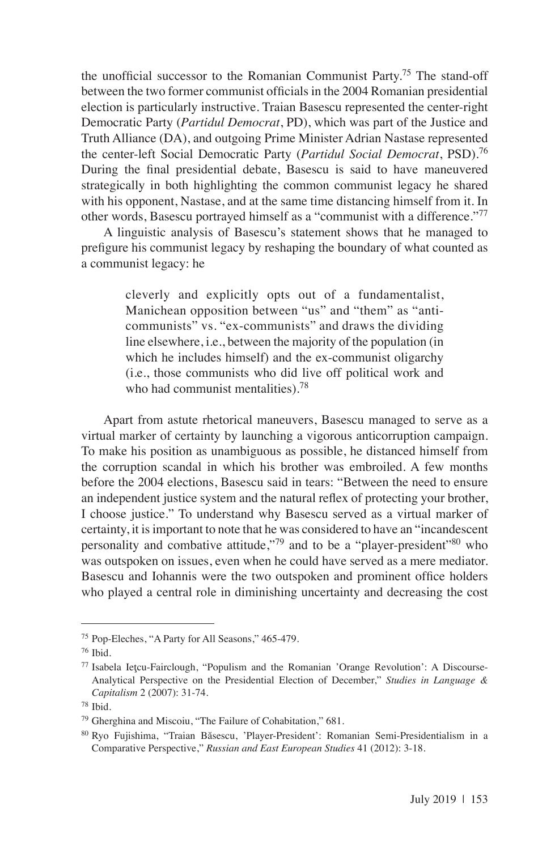the unofficial successor to the Romanian Communist Party.75 The stand-off between the two former communist officials in the 2004 Romanian presidential election is particularly instructive. Traian Basescu represented the center-right Democratic Party (*Partidul Democrat*, PD), which was part of the Justice and Truth Alliance (DA), and outgoing Prime Minister Adrian Nastase represented the center-left Social Democratic Party (*Partidul Social Democrat*, PSD).<sup>76</sup> During the final presidential debate, Basescu is said to have maneuvered strategically in both highlighting the common communist legacy he shared with his opponent, Nastase, and at the same time distancing himself from it. In other words, Basescu portrayed himself as a "communist with a difference."77

A linguistic analysis of Basescu's statement shows that he managed to prefigure his communist legacy by reshaping the boundary of what counted as a communist legacy: he

> cleverly and explicitly opts out of a fundamentalist, Manichean opposition between "us" and "them" as "anticommunists" vs. "ex-communists" and draws the dividing line elsewhere, i.e., between the majority of the population (in which he includes himself) and the ex-communist oligarchy (i.e., those communists who did live off political work and who had communist mentalities).<sup>78</sup>

Apart from astute rhetorical maneuvers, Basescu managed to serve as a virtual marker of certainty by launching a vigorous anticorruption campaign. To make his position as unambiguous as possible, he distanced himself from the corruption scandal in which his brother was embroiled. A few months before the 2004 elections, Basescu said in tears: "Between the need to ensure an independent justice system and the natural reflex of protecting your brother, I choose justice." To understand why Basescu served as a virtual marker of certainty, it is important to note that he was considered to have an "incandescent personality and combative attitude,"79 and to be a "player-president"<sup>80</sup> who was outspoken on issues, even when he could have served as a mere mediator. Basescu and Iohannis were the two outspoken and prominent office holders who played a central role in diminishing uncertainty and decreasing the cost

<sup>75</sup> Pop-Eleches, "A Party for All Seasons," 465-479.

<sup>76</sup> Ibid.

<sup>77</sup> Isabela Ieţcu-Fairclough, "Populism and the Romanian 'Orange Revolution': A Discourse-Analytical Perspective on the Presidential Election of December," *Studies in Language & Capitalism* 2 (2007): 31-74.

<sup>78</sup> Ibid.

<sup>79</sup> Gherghina and Miscoiu, "The Failure of Cohabitation," 681.

<sup>80</sup> Ryo Fujishima, "Traian Băsescu, 'Player-President': Romanian Semi-Presidentialism in a Comparative Perspective," *Russian and East European Studies* 41 (2012): 3-18.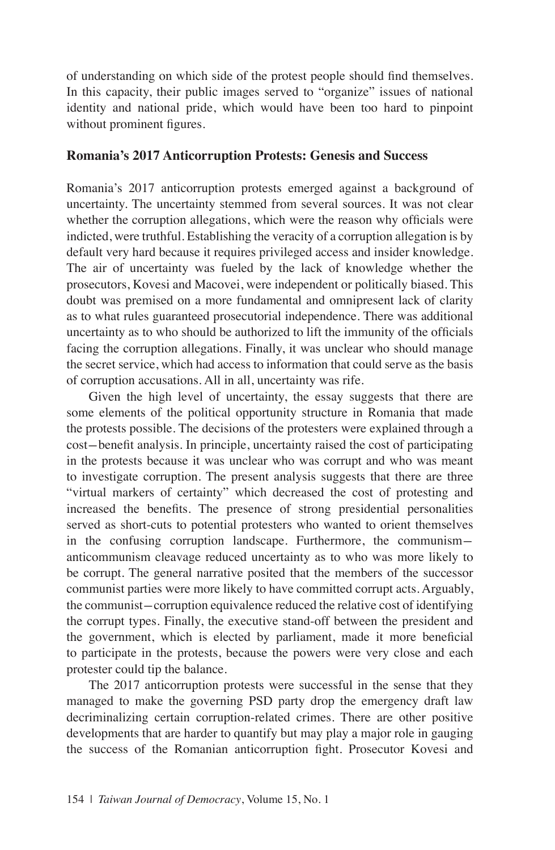of understanding on which side of the protest people should find themselves. In this capacity, their public images served to "organize" issues of national identity and national pride, which would have been too hard to pinpoint without prominent figures.

#### **Romania's 2017 Anticorruption Protests: Genesis and Success**

Romania's 2017 anticorruption protests emerged against a background of uncertainty. The uncertainty stemmed from several sources. It was not clear whether the corruption allegations, which were the reason why officials were indicted, were truthful. Establishing the veracity of a corruption allegation is by default very hard because it requires privileged access and insider knowledge. The air of uncertainty was fueled by the lack of knowledge whether the prosecutors, Kovesi and Macovei, were independent or politically biased. This doubt was premised on a more fundamental and omnipresent lack of clarity as to what rules guaranteed prosecutorial independence. There was additional uncertainty as to who should be authorized to lift the immunity of the officials facing the corruption allegations. Finally, it was unclear who should manage the secret service, which had access to information that could serve as the basis of corruption accusations. All in all, uncertainty was rife.

Given the high level of uncertainty, the essay suggests that there are some elements of the political opportunity structure in Romania that made the protests possible. The decisions of the protesters were explained through a cost-benefit analysis. In principle, uncertainty raised the cost of participating in the protests because it was unclear who was corrupt and who was meant to investigate corruption. The present analysis suggests that there are three "virtual markers of certainty" which decreased the cost of protesting and increased the benefits. The presence of strong presidential personalities served as short-cuts to potential protesters who wanted to orient themselves in the confusing corruption landscape. Furthermore, the communismanticommunism cleavage reduced uncertainty as to who was more likely to be corrupt. The general narrative posited that the members of the successor communist parties were more likely to have committed corrupt acts. Arguably, the communist-corruption equivalence reduced the relative cost of identifying the corrupt types. Finally, the executive stand-off between the president and the government, which is elected by parliament, made it more beneficial to participate in the protests, because the powers were very close and each protester could tip the balance.

The 2017 anticorruption protests were successful in the sense that they managed to make the governing PSD party drop the emergency draft law decriminalizing certain corruption-related crimes. There are other positive developments that are harder to quantify but may play a major role in gauging the success of the Romanian anticorruption fight. Prosecutor Kovesi and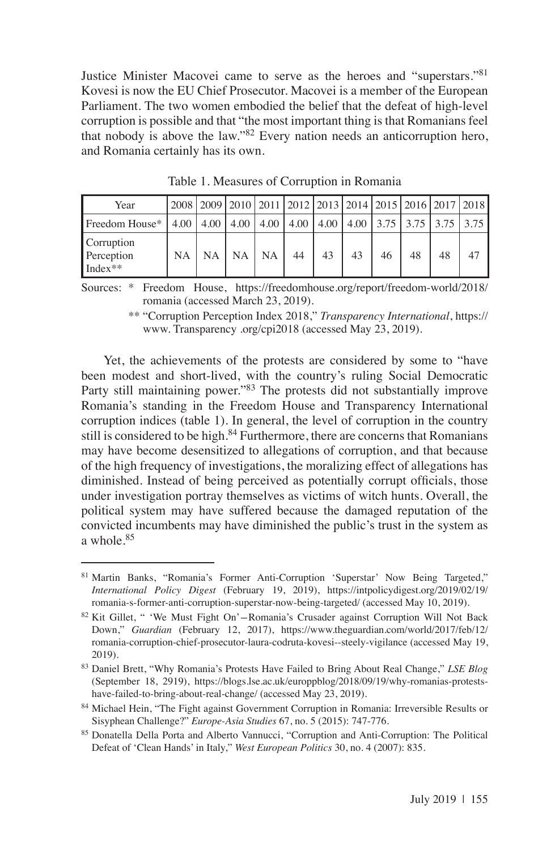Justice Minister Macovei came to serve as the heroes and "superstars."81 Kovesi is now the EU Chief Prosecutor. Macovei is a member of the European Parliament. The two women embodied the belief that the defeat of high-level corruption is possible and that "the most important thing is that Romanians feel that nobody is above the law."82 Every nation needs an anticorruption hero, and Romania certainly has its own.

| Year                                                                                        |           | 2008 2009 2010 2011 2012 2013 2014 2015 2016 2017 2018 |    |    |    |    |    |    |
|---------------------------------------------------------------------------------------------|-----------|--------------------------------------------------------|----|----|----|----|----|----|
| Freedom House*   4.00   4.00   4.00   4.00   4.00   4.00   4.00   3.75   3.75   3.75   3.75 |           |                                                        |    |    |    |    |    |    |
| <b>Corruption</b><br>Perception<br>$Index**$                                                | <b>NA</b> | NA   NA   NA                                           | 44 | 43 | 43 | 46 | 48 | 47 |

Table 1. Measures of Corruption in Romania

Sources: \* Freedom House, https://freedomhouse.org/report/freedom-world/2018/ romania (accessed March 23, 2019).

> \*\* "Corruption Perception Index 2018," *Transparency International*, https:// www. Transparency .org/cpi2018 (accessed May 23, 2019).

Yet, the achievements of the protests are considered by some to "have been modest and short-lived, with the country's ruling Social Democratic Party still maintaining power."83 The protests did not substantially improve Romania's standing in the Freedom House and Transparency International corruption indices (table 1). In general, the level of corruption in the country still is considered to be high. $84$  Furthermore, there are concerns that Romanians may have become desensitized to allegations of corruption, and that because of the high frequency of investigations, the moralizing effect of allegations has diminished. Instead of being perceived as potentially corrupt officials, those under investigation portray themselves as victims of witch hunts. Overall, the political system may have suffered because the damaged reputation of the convicted incumbents may have diminished the public's trust in the system as a whole.85

<sup>81</sup> Martin Banks, "Romania's Former Anti-Corruption 'Superstar' Now Being Targeted," *International Policy Digest* (February 19, 2019), https://intpolicydigest.org/2019/02/19/ romania-s-former-anti-corruption-superstar-now-being-targeted/ (accessed May 10, 2019).

<sup>&</sup>lt;sup>82</sup> Kit Gillet, " 'We Must Fight On'-Romania's Crusader against Corruption Will Not Back Down," *Guardian* (February 12, 2017), https://www.theguardian.com/world/2017/feb/12/ romania-corruption-chief-prosecutor-laura-codruta-kovesi--steely-vigilance (accessed May 19, 2019).

<sup>83</sup> Daniel Brett, "Why Romania's Protests Have Failed to Bring About Real Change," *LSE Blog*  (September 18, 2919), https://blogs.lse.ac.uk/europpblog/2018/09/19/why-romanias-protestshave-failed-to-bring-about-real-change/ (accessed May 23, 2019).

<sup>84</sup> Michael Hein, "The Fight against Government Corruption in Romania: Irreversible Results or Sisyphean Challenge?" *Europe-Asia Studies* 67, no. 5 (2015): 747-776.

<sup>85</sup> Donatella Della Porta and Alberto Vannucci, "Corruption and Anti-Corruption: The Political Defeat of 'Clean Hands' in Italy," *West European Politics* 30, no. 4 (2007): 835.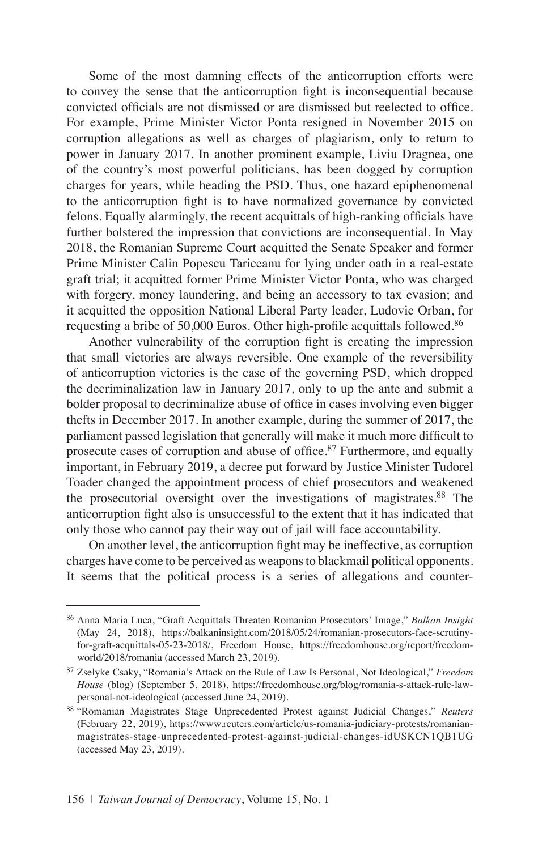Some of the most damning effects of the anticorruption efforts were to convey the sense that the anticorruption fight is inconsequential because convicted officials are not dismissed or are dismissed but reelected to office. For example, Prime Minister Victor Ponta resigned in November 2015 on corruption allegations as well as charges of plagiarism, only to return to power in January 2017. In another prominent example, Liviu Dragnea, one of the country's most powerful politicians, has been dogged by corruption charges for years, while heading the PSD. Thus, one hazard epiphenomenal to the anticorruption fight is to have normalized governance by convicted felons. Equally alarmingly, the recent acquittals of high-ranking officials have further bolstered the impression that convictions are inconsequential. In May 2018, the Romanian Supreme Court acquitted the Senate Speaker and former Prime Minister Calin Popescu Tariceanu for lying under oath in a real-estate graft trial; it acquitted former Prime Minister Victor Ponta, who was charged with forgery, money laundering, and being an accessory to tax evasion; and it acquitted the opposition National Liberal Party leader, Ludovic Orban, for requesting a bribe of 50,000 Euros. Other high-profile acquittals followed.<sup>86</sup>

Another vulnerability of the corruption fight is creating the impression that small victories are always reversible. One example of the reversibility of anticorruption victories is the case of the governing PSD, which dropped the decriminalization law in January 2017, only to up the ante and submit a bolder proposal to decriminalize abuse of office in cases involving even bigger thefts in December 2017. In another example, during the summer of 2017, the parliament passed legislation that generally will make it much more difficult to prosecute cases of corruption and abuse of office.<sup>87</sup> Furthermore, and equally important, in February 2019, a decree put forward by Justice Minister Tudorel Toader changed the appointment process of chief prosecutors and weakened the prosecutorial oversight over the investigations of magistrates.<sup>88</sup> The anticorruption fight also is unsuccessful to the extent that it has indicated that only those who cannot pay their way out of jail will face accountability.

On another level, the anticorruption fight may be ineffective, as corruption charges have come to be perceived as weapons to blackmail political opponents. It seems that the political process is a series of allegations and counter-

<sup>86</sup> Anna Maria Luca, "Graft Acquittals Threaten Romanian Prosecutors' Image," *Balkan Insight*  (May 24, 2018), https://balkaninsight.com/2018/05/24/romanian-prosecutors-face-scrutinyfor-graft-acquittals-05-23-2018/, Freedom House, https://freedomhouse.org/report/freedomworld/2018/romania (accessed March 23, 2019).

<sup>87</sup> Zselyke Csaky, "Romania's Attack on the Rule of Law Is Personal, Not Ideological," *Freedom House* (blog) (September 5, 2018), https://freedomhouse.org/blog/romania-s-attack-rule-lawpersonal-not-ideological (accessed June 24, 2019).

<sup>88</sup> "Romanian Magistrates Stage Unprecedented Protest against Judicial Changes," *Reuters* (February 22, 2019), https://www.reuters.com/article/us-romania-judiciary-protests/romanianmagistrates-stage-unprecedented-protest-against-judicial-changes-idUSKCN1QB1UG (accessed May 23, 2019).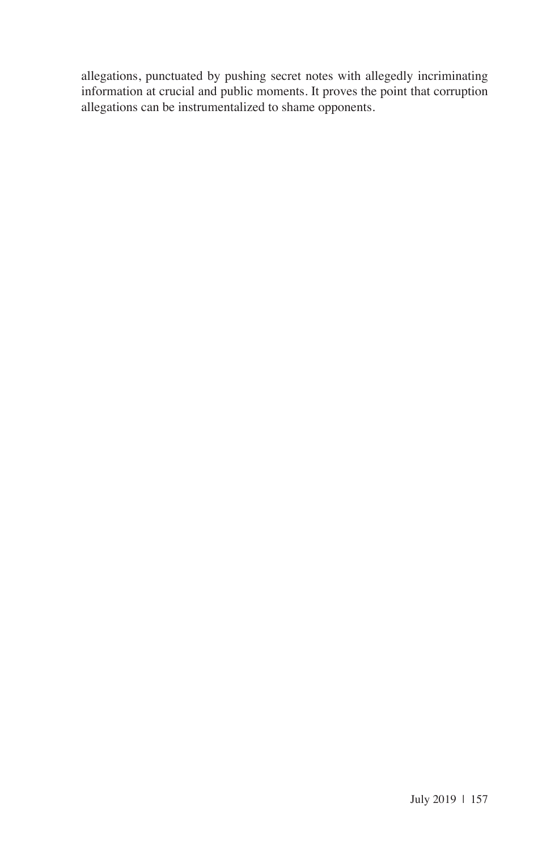allegations, punctuated by pushing secret notes with allegedly incriminating information at crucial and public moments. It proves the point that corruption allegations can be instrumentalized to shame opponents.